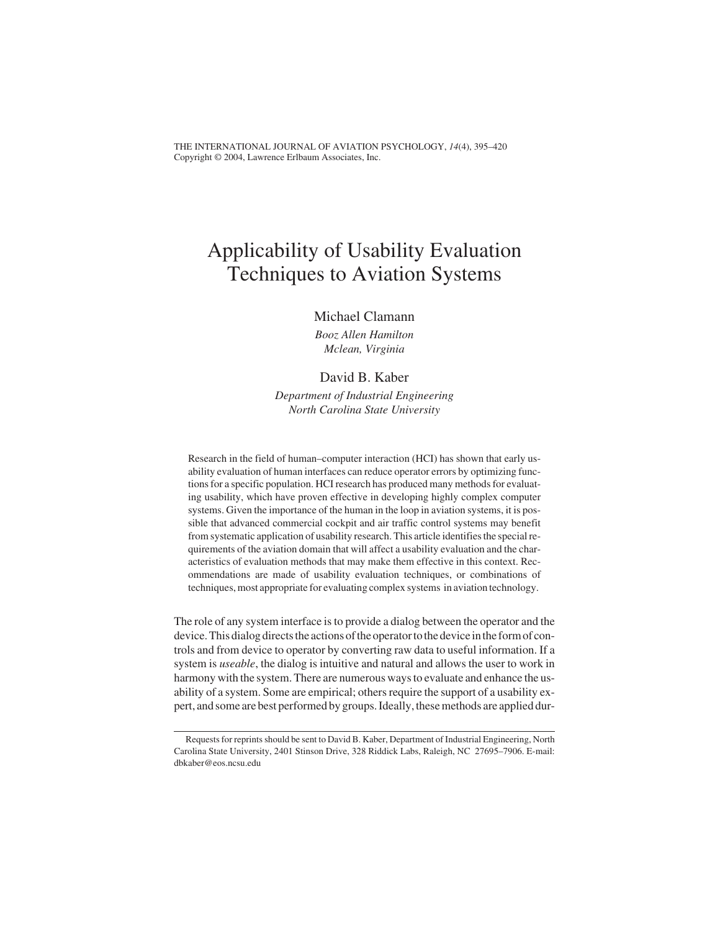# Applicability of Usability Evaluation Techniques to Aviation Systems

Michael Clamann

*Booz Allen Hamilton Mclean, Virginia*

David B. Kaber

*Department of Industrial Engineering North Carolina State University*

Research in the field of human–computer interaction (HCI) has shown that early usability evaluation of human interfaces can reduce operator errors by optimizing functions for a specific population. HCI research has produced many methods for evaluating usability, which have proven effective in developing highly complex computer systems. Given the importance of the human in the loop in aviation systems, it is possible that advanced commercial cockpit and air traffic control systems may benefit from systematic application of usability research. This article identifies the special requirements of the aviation domain that will affect a usability evaluation and the characteristics of evaluation methods that may make them effective in this context. Recommendations are made of usability evaluation techniques, or combinations of techniques, most appropriate for evaluating complex systems in aviation technology.

The role of any system interface is to provide a dialog between the operator and the device. This dialog directs the actions of the operator to the device in the form of controls and from device to operator by converting raw data to useful information. If a system is *useable*, the dialog is intuitive and natural and allows the user to work in harmony with the system. There are numerous ways to evaluate and enhance the usability of a system. Some are empirical; others require the support of a usability expert, and some are best performed by groups. Ideally, these methods are applied dur-

Requests for reprints should be sent to David B. Kaber, Department of Industrial Engineering, North Carolina State University, 2401 Stinson Drive, 328 Riddick Labs, Raleigh, NC 27695–7906. E-mail: dbkaber@eos.ncsu.edu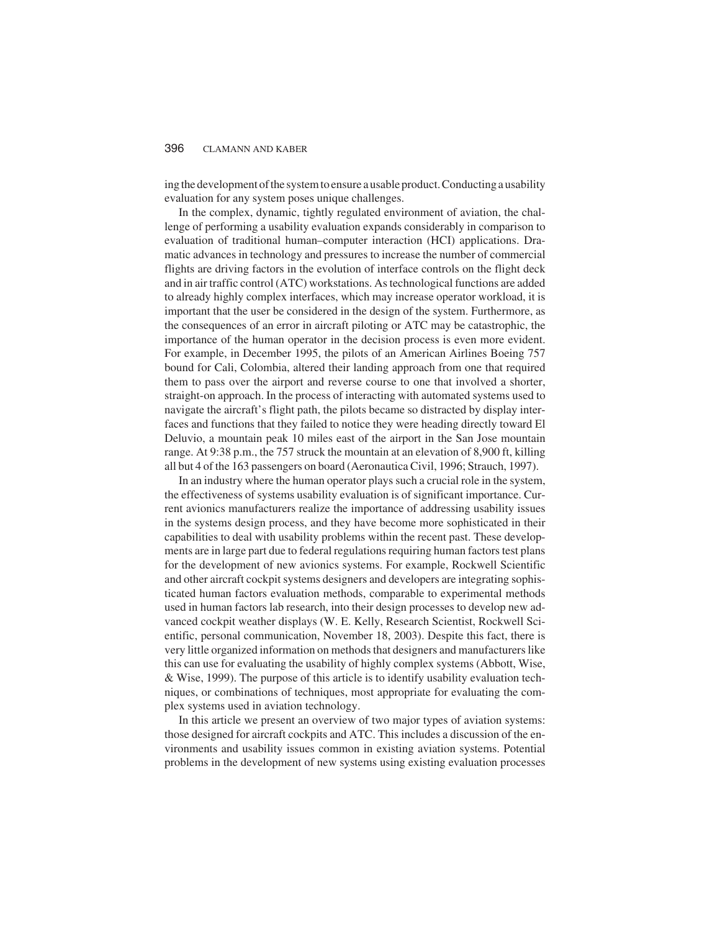ing the development of the system to ensure a usable product. Conducting a usability evaluation for any system poses unique challenges.

In the complex, dynamic, tightly regulated environment of aviation, the challenge of performing a usability evaluation expands considerably in comparison to evaluation of traditional human–computer interaction (HCI) applications. Dramatic advances in technology and pressures to increase the number of commercial flights are driving factors in the evolution of interface controls on the flight deck and in air traffic control (ATC) workstations. As technological functions are added to already highly complex interfaces, which may increase operator workload, it is important that the user be considered in the design of the system. Furthermore, as the consequences of an error in aircraft piloting or ATC may be catastrophic, the importance of the human operator in the decision process is even more evident. For example, in December 1995, the pilots of an American Airlines Boeing 757 bound for Cali, Colombia, altered their landing approach from one that required them to pass over the airport and reverse course to one that involved a shorter, straight-on approach. In the process of interacting with automated systems used to navigate the aircraft's flight path, the pilots became so distracted by display interfaces and functions that they failed to notice they were heading directly toward El Deluvio, a mountain peak 10 miles east of the airport in the San Jose mountain range. At 9:38 p.m., the 757 struck the mountain at an elevation of 8,900 ft, killing all but 4 of the 163 passengers on board (Aeronautica Civil, 1996; Strauch, 1997).

In an industry where the human operator plays such a crucial role in the system, the effectiveness of systems usability evaluation is of significant importance. Current avionics manufacturers realize the importance of addressing usability issues in the systems design process, and they have become more sophisticated in their capabilities to deal with usability problems within the recent past. These developments are in large part due to federal regulations requiring human factors test plans for the development of new avionics systems. For example, Rockwell Scientific and other aircraft cockpit systems designers and developers are integrating sophisticated human factors evaluation methods, comparable to experimental methods used in human factors lab research, into their design processes to develop new advanced cockpit weather displays (W. E. Kelly, Research Scientist, Rockwell Scientific, personal communication, November 18, 2003). Despite this fact, there is very little organized information on methods that designers and manufacturers like this can use for evaluating the usability of highly complex systems (Abbott, Wise, & Wise, 1999). The purpose of this article is to identify usability evaluation techniques, or combinations of techniques, most appropriate for evaluating the complex systems used in aviation technology.

In this article we present an overview of two major types of aviation systems: those designed for aircraft cockpits and ATC. This includes a discussion of the environments and usability issues common in existing aviation systems. Potential problems in the development of new systems using existing evaluation processes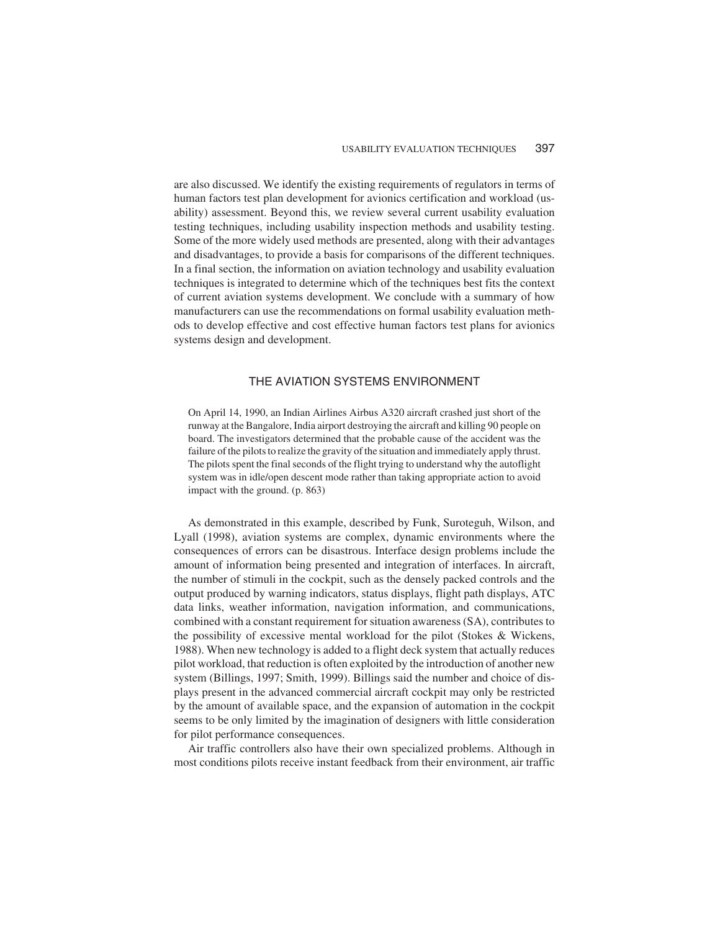are also discussed. We identify the existing requirements of regulators in terms of human factors test plan development for avionics certification and workload (usability) assessment. Beyond this, we review several current usability evaluation testing techniques, including usability inspection methods and usability testing. Some of the more widely used methods are presented, along with their advantages and disadvantages, to provide a basis for comparisons of the different techniques. In a final section, the information on aviation technology and usability evaluation techniques is integrated to determine which of the techniques best fits the context of current aviation systems development. We conclude with a summary of how manufacturers can use the recommendations on formal usability evaluation methods to develop effective and cost effective human factors test plans for avionics systems design and development.

## THE AVIATION SYSTEMS ENVIRONMENT

On April 14, 1990, an Indian Airlines Airbus A320 aircraft crashed just short of the runway at the Bangalore, India airport destroying the aircraft and killing 90 people on board. The investigators determined that the probable cause of the accident was the failure of the pilots to realize the gravity of the situation and immediately apply thrust. The pilots spent the final seconds of the flight trying to understand why the autoflight system was in idle/open descent mode rather than taking appropriate action to avoid impact with the ground. (p. 863)

As demonstrated in this example, described by Funk, Suroteguh, Wilson, and Lyall (1998), aviation systems are complex, dynamic environments where the consequences of errors can be disastrous. Interface design problems include the amount of information being presented and integration of interfaces. In aircraft, the number of stimuli in the cockpit, such as the densely packed controls and the output produced by warning indicators, status displays, flight path displays, ATC data links, weather information, navigation information, and communications, combined with a constant requirement for situation awareness (SA), contributes to the possibility of excessive mental workload for the pilot (Stokes & Wickens, 1988). When new technology is added to a flight deck system that actually reduces pilot workload, that reduction is often exploited by the introduction of another new system (Billings, 1997; Smith, 1999). Billings said the number and choice of displays present in the advanced commercial aircraft cockpit may only be restricted by the amount of available space, and the expansion of automation in the cockpit seems to be only limited by the imagination of designers with little consideration for pilot performance consequences.

Air traffic controllers also have their own specialized problems. Although in most conditions pilots receive instant feedback from their environment, air traffic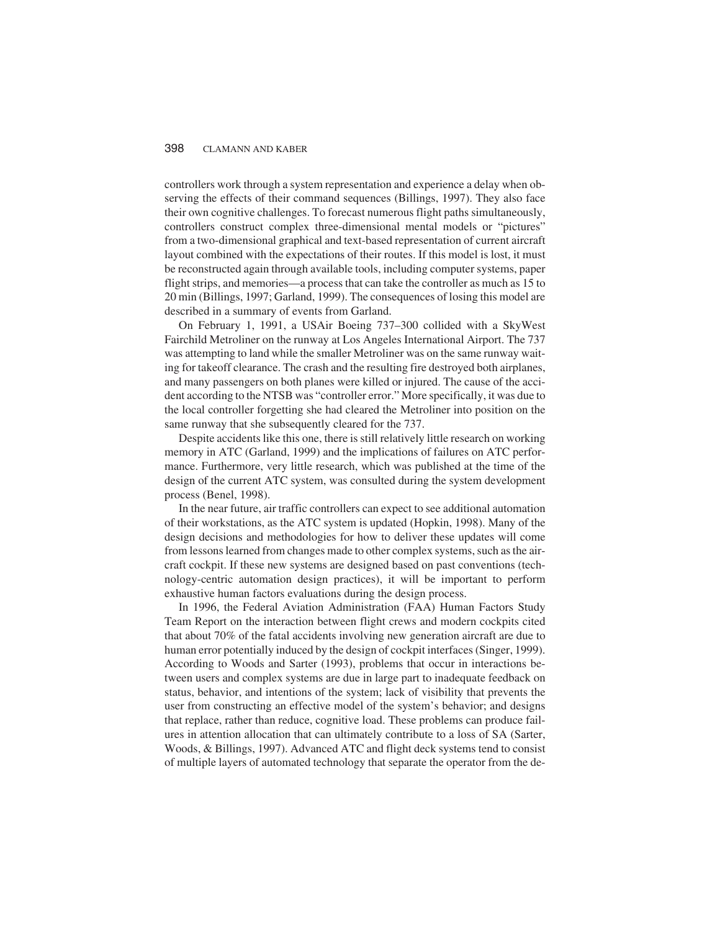controllers work through a system representation and experience a delay when observing the effects of their command sequences (Billings, 1997). They also face their own cognitive challenges. To forecast numerous flight paths simultaneously, controllers construct complex three-dimensional mental models or "pictures" from a two-dimensional graphical and text-based representation of current aircraft layout combined with the expectations of their routes. If this model is lost, it must be reconstructed again through available tools, including computer systems, paper flight strips, and memories—a process that can take the controller as much as 15 to 20 min (Billings, 1997; Garland, 1999). The consequences of losing this model are described in a summary of events from Garland.

On February 1, 1991, a USAir Boeing 737–300 collided with a SkyWest Fairchild Metroliner on the runway at Los Angeles International Airport. The 737 was attempting to land while the smaller Metroliner was on the same runway waiting for takeoff clearance. The crash and the resulting fire destroyed both airplanes, and many passengers on both planes were killed or injured. The cause of the accident according to the NTSB was "controller error." More specifically, it was due to the local controller forgetting she had cleared the Metroliner into position on the same runway that she subsequently cleared for the 737.

Despite accidents like this one, there is still relatively little research on working memory in ATC (Garland, 1999) and the implications of failures on ATC performance. Furthermore, very little research, which was published at the time of the design of the current ATC system, was consulted during the system development process (Benel, 1998).

In the near future, air traffic controllers can expect to see additional automation of their workstations, as the ATC system is updated (Hopkin, 1998). Many of the design decisions and methodologies for how to deliver these updates will come from lessons learned from changes made to other complex systems, such as the aircraft cockpit. If these new systems are designed based on past conventions (technology-centric automation design practices), it will be important to perform exhaustive human factors evaluations during the design process.

In 1996, the Federal Aviation Administration (FAA) Human Factors Study Team Report on the interaction between flight crews and modern cockpits cited that about 70% of the fatal accidents involving new generation aircraft are due to human error potentially induced by the design of cockpit interfaces (Singer, 1999). According to Woods and Sarter (1993), problems that occur in interactions between users and complex systems are due in large part to inadequate feedback on status, behavior, and intentions of the system; lack of visibility that prevents the user from constructing an effective model of the system's behavior; and designs that replace, rather than reduce, cognitive load. These problems can produce failures in attention allocation that can ultimately contribute to a loss of SA (Sarter, Woods, & Billings, 1997). Advanced ATC and flight deck systems tend to consist of multiple layers of automated technology that separate the operator from the de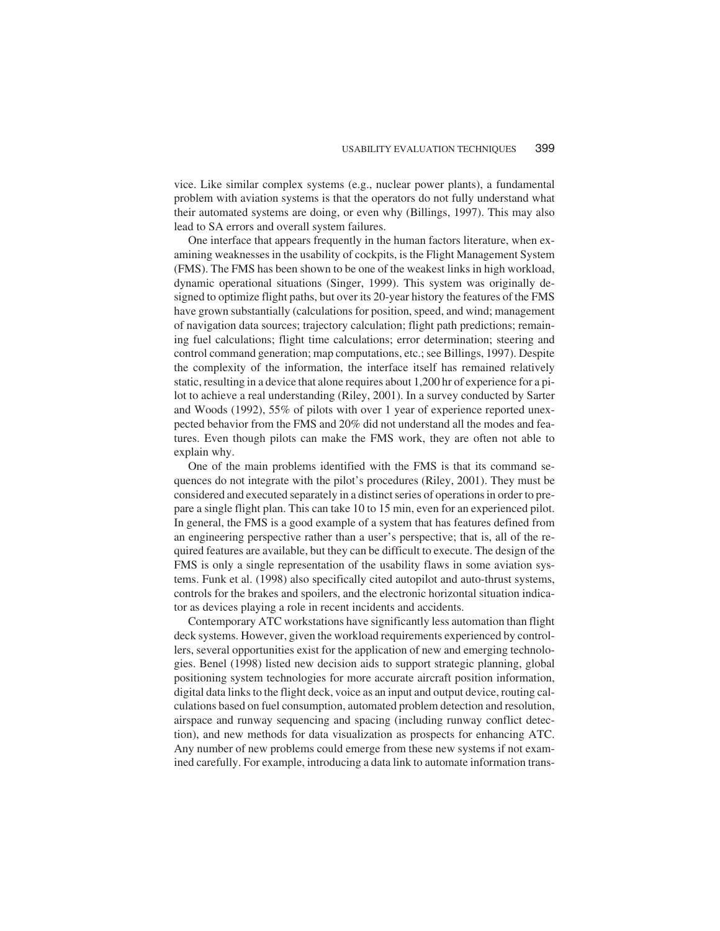vice. Like similar complex systems (e.g., nuclear power plants), a fundamental problem with aviation systems is that the operators do not fully understand what their automated systems are doing, or even why (Billings, 1997). This may also lead to SA errors and overall system failures.

One interface that appears frequently in the human factors literature, when examining weaknesses in the usability of cockpits, is the Flight Management System (FMS). The FMS has been shown to be one of the weakest links in high workload, dynamic operational situations (Singer, 1999). This system was originally designed to optimize flight paths, but over its 20-year history the features of the FMS have grown substantially (calculations for position, speed, and wind; management of navigation data sources; trajectory calculation; flight path predictions; remaining fuel calculations; flight time calculations; error determination; steering and control command generation; map computations, etc.; see Billings, 1997). Despite the complexity of the information, the interface itself has remained relatively static, resulting in a device that alone requires about 1,200 hr of experience for a pilot to achieve a real understanding (Riley, 2001). In a survey conducted by Sarter and Woods (1992), 55% of pilots with over 1 year of experience reported unexpected behavior from the FMS and 20% did not understand all the modes and features. Even though pilots can make the FMS work, they are often not able to explain why.

One of the main problems identified with the FMS is that its command sequences do not integrate with the pilot's procedures (Riley, 2001). They must be considered and executed separately in a distinct series of operations in order to prepare a single flight plan. This can take 10 to 15 min, even for an experienced pilot. In general, the FMS is a good example of a system that has features defined from an engineering perspective rather than a user's perspective; that is, all of the required features are available, but they can be difficult to execute. The design of the FMS is only a single representation of the usability flaws in some aviation systems. Funk et al. (1998) also specifically cited autopilot and auto-thrust systems, controls for the brakes and spoilers, and the electronic horizontal situation indicator as devices playing a role in recent incidents and accidents.

Contemporary ATC workstations have significantly less automation than flight deck systems. However, given the workload requirements experienced by controllers, several opportunities exist for the application of new and emerging technologies. Benel (1998) listed new decision aids to support strategic planning, global positioning system technologies for more accurate aircraft position information, digital data links to the flight deck, voice as an input and output device, routing calculations based on fuel consumption, automated problem detection and resolution, airspace and runway sequencing and spacing (including runway conflict detection), and new methods for data visualization as prospects for enhancing ATC. Any number of new problems could emerge from these new systems if not examined carefully. For example, introducing a data link to automate information trans-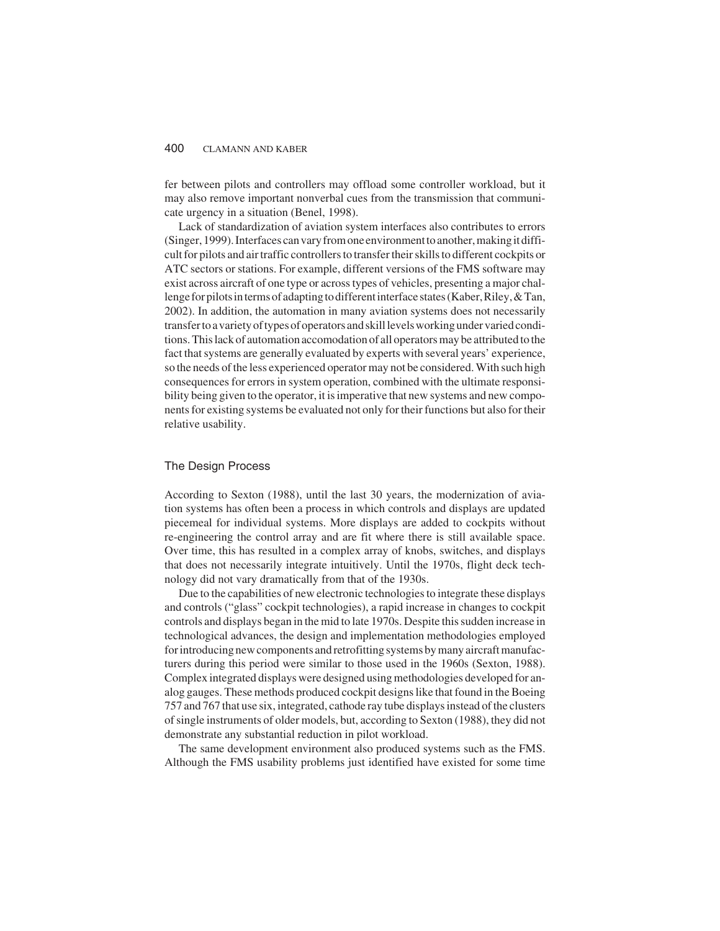fer between pilots and controllers may offload some controller workload, but it may also remove important nonverbal cues from the transmission that communicate urgency in a situation (Benel, 1998).

Lack of standardization of aviation system interfaces also contributes to errors (Singer, 1999). Interfaces can vary from one environment to another, making it difficult for pilots and air traffic controllers to transfer their skills to different cockpits or ATC sectors or stations. For example, different versions of the FMS software may exist across aircraft of one type or across types of vehicles, presenting a major challenge for pilots in terms of adapting to different interface states (Kaber, Riley, & Tan, 2002). In addition, the automation in many aviation systems does not necessarily transfer to a variety of types of operators and skill levels working under varied conditions. This lack of automation accomodation of all operators may be attributed to the fact that systems are generally evaluated by experts with several years' experience, so the needs of the less experienced operator may not be considered. With such high consequences for errors in system operation, combined with the ultimate responsibility being given to the operator, it is imperative that new systems and new components for existing systems be evaluated not only for their functions but also for their relative usability.

## The Design Process

According to Sexton (1988), until the last 30 years, the modernization of aviation systems has often been a process in which controls and displays are updated piecemeal for individual systems. More displays are added to cockpits without re-engineering the control array and are fit where there is still available space. Over time, this has resulted in a complex array of knobs, switches, and displays that does not necessarily integrate intuitively. Until the 1970s, flight deck technology did not vary dramatically from that of the 1930s.

Due to the capabilities of new electronic technologies to integrate these displays and controls ("glass" cockpit technologies), a rapid increase in changes to cockpit controls and displays began in the mid to late 1970s. Despite this sudden increase in technological advances, the design and implementation methodologies employed for introducing new components and retrofitting systems by many aircraft manufacturers during this period were similar to those used in the 1960s (Sexton, 1988). Complex integrated displays were designed using methodologies developed for analog gauges. These methods produced cockpit designs like that found in the Boeing 757 and 767 that use six, integrated, cathode ray tube displays instead of the clusters of single instruments of older models, but, according to Sexton (1988), they did not demonstrate any substantial reduction in pilot workload.

The same development environment also produced systems such as the FMS. Although the FMS usability problems just identified have existed for some time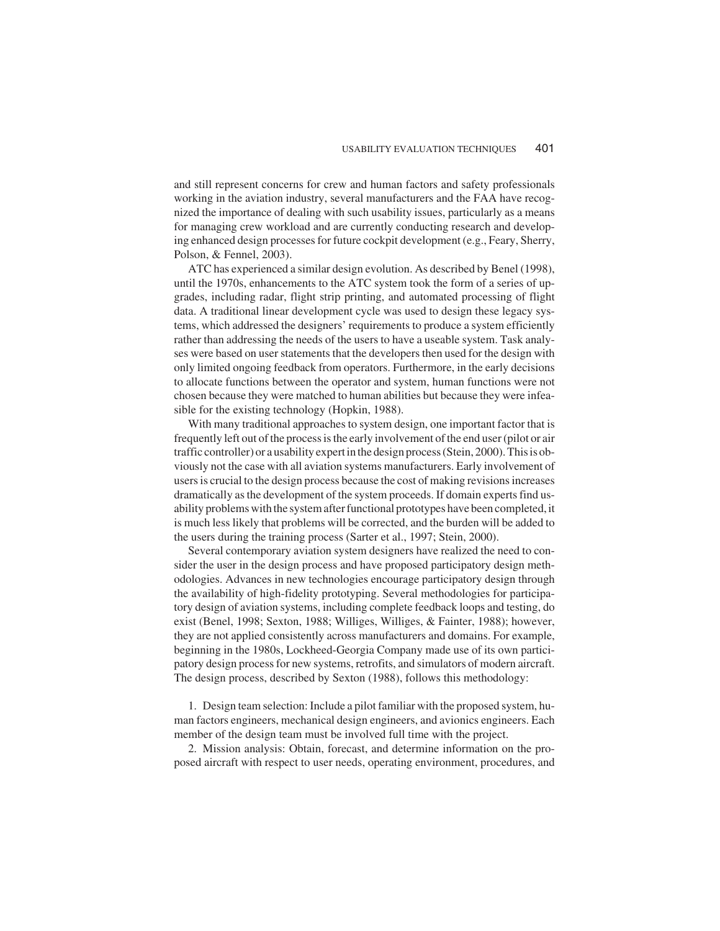and still represent concerns for crew and human factors and safety professionals working in the aviation industry, several manufacturers and the FAA have recognized the importance of dealing with such usability issues, particularly as a means for managing crew workload and are currently conducting research and developing enhanced design processes for future cockpit development (e.g., Feary, Sherry, Polson, & Fennel, 2003).

ATC has experienced a similar design evolution. As described by Benel (1998), until the 1970s, enhancements to the ATC system took the form of a series of upgrades, including radar, flight strip printing, and automated processing of flight data. A traditional linear development cycle was used to design these legacy systems, which addressed the designers' requirements to produce a system efficiently rather than addressing the needs of the users to have a useable system. Task analyses were based on user statements that the developers then used for the design with only limited ongoing feedback from operators. Furthermore, in the early decisions to allocate functions between the operator and system, human functions were not chosen because they were matched to human abilities but because they were infeasible for the existing technology (Hopkin, 1988).

With many traditional approaches to system design, one important factor that is frequently left out of the process is the early involvement of the end user (pilot or air traffic controller) or a usability expert in the design process (Stein, 2000). This is obviously not the case with all aviation systems manufacturers. Early involvement of users is crucial to the design process because the cost of making revisions increases dramatically as the development of the system proceeds. If domain experts find usability problems with the system after functional prototypes have been completed, it is much less likely that problems will be corrected, and the burden will be added to the users during the training process (Sarter et al., 1997; Stein, 2000).

Several contemporary aviation system designers have realized the need to consider the user in the design process and have proposed participatory design methodologies. Advances in new technologies encourage participatory design through the availability of high-fidelity prototyping. Several methodologies for participatory design of aviation systems, including complete feedback loops and testing, do exist (Benel, 1998; Sexton, 1988; Williges, Williges, & Fainter, 1988); however, they are not applied consistently across manufacturers and domains. For example, beginning in the 1980s, Lockheed-Georgia Company made use of its own participatory design process for new systems, retrofits, and simulators of modern aircraft. The design process, described by Sexton (1988), follows this methodology:

1. Design team selection: Include a pilot familiar with the proposed system, human factors engineers, mechanical design engineers, and avionics engineers. Each member of the design team must be involved full time with the project.

2. Mission analysis: Obtain, forecast, and determine information on the proposed aircraft with respect to user needs, operating environment, procedures, and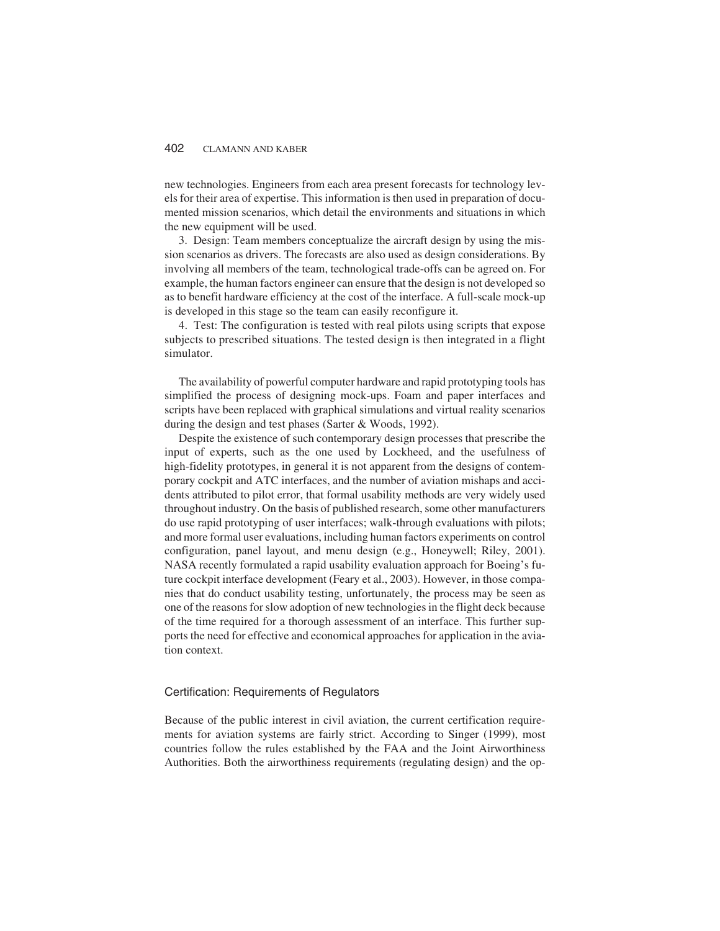new technologies. Engineers from each area present forecasts for technology levels for their area of expertise. This information is then used in preparation of documented mission scenarios, which detail the environments and situations in which the new equipment will be used.

3. Design: Team members conceptualize the aircraft design by using the mission scenarios as drivers. The forecasts are also used as design considerations. By involving all members of the team, technological trade-offs can be agreed on. For example, the human factors engineer can ensure that the design is not developed so as to benefit hardware efficiency at the cost of the interface. A full-scale mock-up is developed in this stage so the team can easily reconfigure it.

4. Test: The configuration is tested with real pilots using scripts that expose subjects to prescribed situations. The tested design is then integrated in a flight simulator.

The availability of powerful computer hardware and rapid prototyping tools has simplified the process of designing mock-ups. Foam and paper interfaces and scripts have been replaced with graphical simulations and virtual reality scenarios during the design and test phases (Sarter & Woods, 1992).

Despite the existence of such contemporary design processes that prescribe the input of experts, such as the one used by Lockheed, and the usefulness of high-fidelity prototypes, in general it is not apparent from the designs of contemporary cockpit and ATC interfaces, and the number of aviation mishaps and accidents attributed to pilot error, that formal usability methods are very widely used throughout industry. On the basis of published research, some other manufacturers do use rapid prototyping of user interfaces; walk-through evaluations with pilots; and more formal user evaluations, including human factors experiments on control configuration, panel layout, and menu design (e.g., Honeywell; Riley, 2001). NASA recently formulated a rapid usability evaluation approach for Boeing's future cockpit interface development (Feary et al., 2003). However, in those companies that do conduct usability testing, unfortunately, the process may be seen as one of the reasons for slow adoption of new technologies in the flight deck because of the time required for a thorough assessment of an interface. This further supports the need for effective and economical approaches for application in the aviation context.

#### Certification: Requirements of Regulators

Because of the public interest in civil aviation, the current certification requirements for aviation systems are fairly strict. According to Singer (1999), most countries follow the rules established by the FAA and the Joint Airworthiness Authorities. Both the airworthiness requirements (regulating design) and the op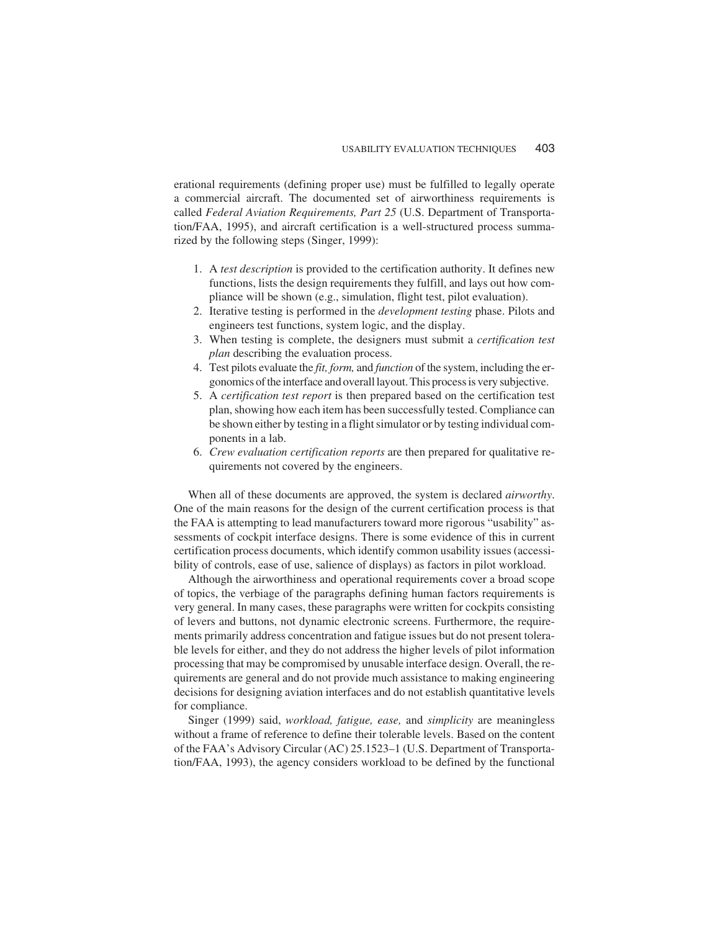erational requirements (defining proper use) must be fulfilled to legally operate a commercial aircraft. The documented set of airworthiness requirements is called *Federal Aviation Requirements, Part 25* (U.S. Department of Transportation/FAA, 1995), and aircraft certification is a well-structured process summarized by the following steps (Singer, 1999):

- 1. A *test description* is provided to the certification authority. It defines new functions, lists the design requirements they fulfill, and lays out how compliance will be shown (e.g., simulation, flight test, pilot evaluation).
- 2. Iterative testing is performed in the *development testing* phase. Pilots and engineers test functions, system logic, and the display.
- 3. When testing is complete, the designers must submit a *certification test plan* describing the evaluation process.
- 4. Test pilots evaluate the *fit, form,* and *function* of the system, including the ergonomics of the interface and overall layout. This process is very subjective.
- 5. A *certification test report* is then prepared based on the certification test plan, showing how each item has been successfully tested. Compliance can be shown either by testing in a flight simulator or by testing individual components in a lab.
- 6. *Crew evaluation certification reports* are then prepared for qualitative requirements not covered by the engineers.

When all of these documents are approved, the system is declared *airworthy*. One of the main reasons for the design of the current certification process is that the FAA is attempting to lead manufacturers toward more rigorous "usability" assessments of cockpit interface designs. There is some evidence of this in current certification process documents, which identify common usability issues (accessibility of controls, ease of use, salience of displays) as factors in pilot workload.

Although the airworthiness and operational requirements cover a broad scope of topics, the verbiage of the paragraphs defining human factors requirements is very general. In many cases, these paragraphs were written for cockpits consisting of levers and buttons, not dynamic electronic screens. Furthermore, the requirements primarily address concentration and fatigue issues but do not present tolerable levels for either, and they do not address the higher levels of pilot information processing that may be compromised by unusable interface design. Overall, the requirements are general and do not provide much assistance to making engineering decisions for designing aviation interfaces and do not establish quantitative levels for compliance.

Singer (1999) said, *workload, fatigue, ease,* and *simplicity* are meaningless without a frame of reference to define their tolerable levels. Based on the content of the FAA's Advisory Circular (AC) 25.1523–1 (U.S. Department of Transportation/FAA, 1993), the agency considers workload to be defined by the functional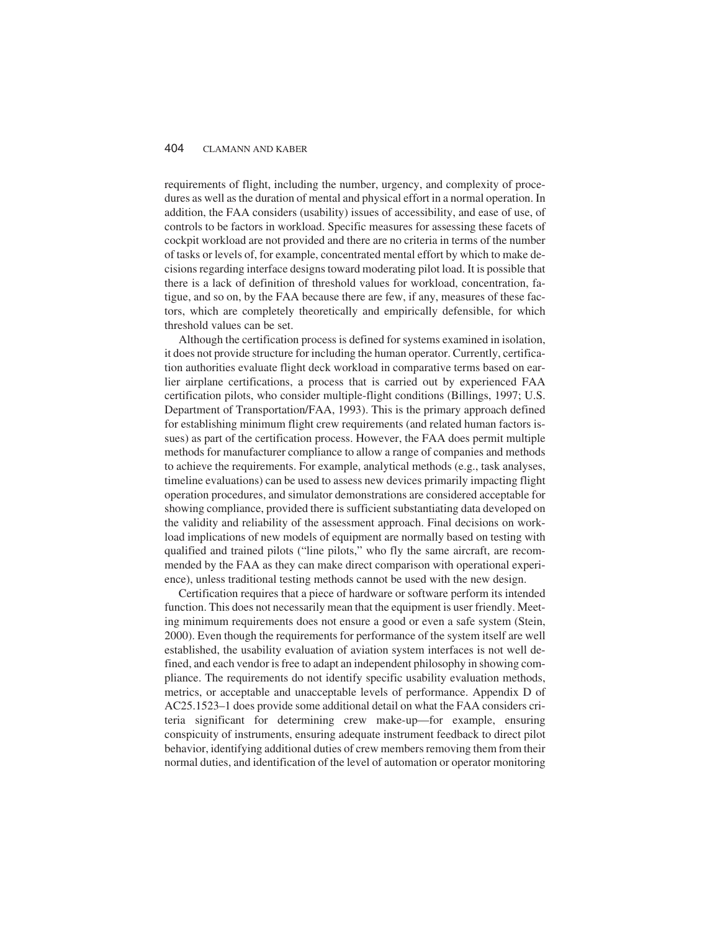requirements of flight, including the number, urgency, and complexity of procedures as well as the duration of mental and physical effort in a normal operation. In addition, the FAA considers (usability) issues of accessibility, and ease of use, of controls to be factors in workload. Specific measures for assessing these facets of cockpit workload are not provided and there are no criteria in terms of the number of tasks or levels of, for example, concentrated mental effort by which to make decisions regarding interface designs toward moderating pilot load. It is possible that there is a lack of definition of threshold values for workload, concentration, fatigue, and so on, by the FAA because there are few, if any, measures of these factors, which are completely theoretically and empirically defensible, for which threshold values can be set.

Although the certification process is defined for systems examined in isolation, it does not provide structure for including the human operator. Currently, certification authorities evaluate flight deck workload in comparative terms based on earlier airplane certifications, a process that is carried out by experienced FAA certification pilots, who consider multiple-flight conditions (Billings, 1997; U.S. Department of Transportation/FAA, 1993). This is the primary approach defined for establishing minimum flight crew requirements (and related human factors issues) as part of the certification process. However, the FAA does permit multiple methods for manufacturer compliance to allow a range of companies and methods to achieve the requirements. For example, analytical methods (e.g., task analyses, timeline evaluations) can be used to assess new devices primarily impacting flight operation procedures, and simulator demonstrations are considered acceptable for showing compliance, provided there is sufficient substantiating data developed on the validity and reliability of the assessment approach. Final decisions on workload implications of new models of equipment are normally based on testing with qualified and trained pilots ("line pilots," who fly the same aircraft, are recommended by the FAA as they can make direct comparison with operational experience), unless traditional testing methods cannot be used with the new design.

Certification requires that a piece of hardware or software perform its intended function. This does not necessarily mean that the equipment is user friendly. Meeting minimum requirements does not ensure a good or even a safe system (Stein, 2000). Even though the requirements for performance of the system itself are well established, the usability evaluation of aviation system interfaces is not well defined, and each vendor is free to adapt an independent philosophy in showing compliance. The requirements do not identify specific usability evaluation methods, metrics, or acceptable and unacceptable levels of performance. Appendix D of AC25.1523–1 does provide some additional detail on what the FAA considers criteria significant for determining crew make-up—for example, ensuring conspicuity of instruments, ensuring adequate instrument feedback to direct pilot behavior, identifying additional duties of crew members removing them from their normal duties, and identification of the level of automation or operator monitoring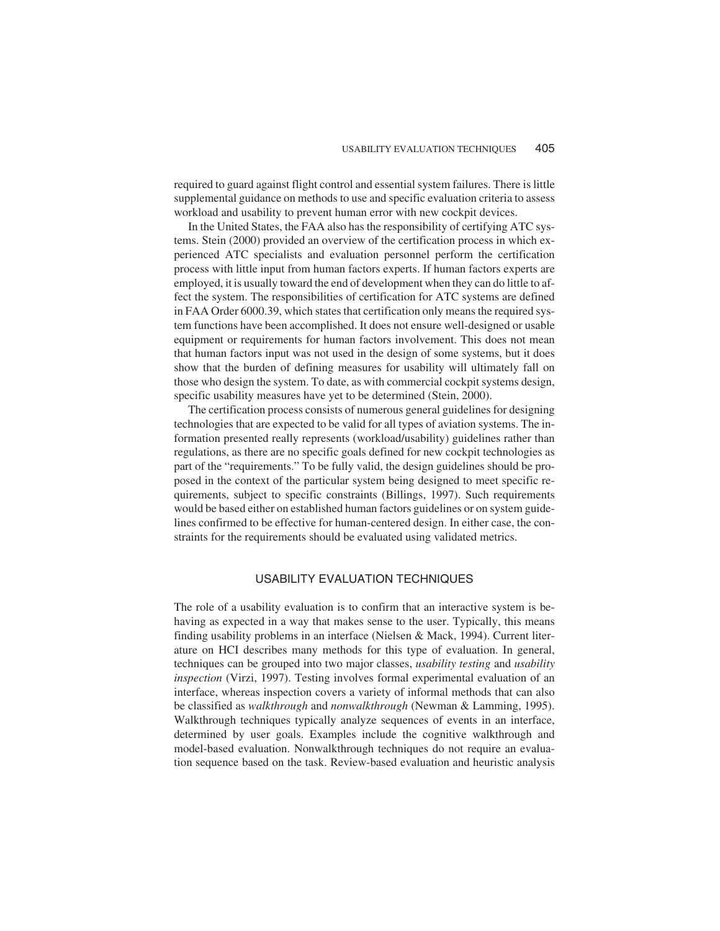required to guard against flight control and essential system failures. There is little supplemental guidance on methods to use and specific evaluation criteria to assess workload and usability to prevent human error with new cockpit devices.

In the United States, the FAA also has the responsibility of certifying ATC systems. Stein (2000) provided an overview of the certification process in which experienced ATC specialists and evaluation personnel perform the certification process with little input from human factors experts. If human factors experts are employed, it is usually toward the end of development when they can do little to affect the system. The responsibilities of certification for ATC systems are defined in FAA Order 6000.39, which states that certification only means the required system functions have been accomplished. It does not ensure well-designed or usable equipment or requirements for human factors involvement. This does not mean that human factors input was not used in the design of some systems, but it does show that the burden of defining measures for usability will ultimately fall on those who design the system. To date, as with commercial cockpit systems design, specific usability measures have yet to be determined (Stein, 2000).

The certification process consists of numerous general guidelines for designing technologies that are expected to be valid for all types of aviation systems. The information presented really represents (workload/usability) guidelines rather than regulations, as there are no specific goals defined for new cockpit technologies as part of the "requirements." To be fully valid, the design guidelines should be proposed in the context of the particular system being designed to meet specific requirements, subject to specific constraints (Billings, 1997). Such requirements would be based either on established human factors guidelines or on system guidelines confirmed to be effective for human-centered design. In either case, the constraints for the requirements should be evaluated using validated metrics.

## USABILITY EVALUATION TECHNIQUES

The role of a usability evaluation is to confirm that an interactive system is behaving as expected in a way that makes sense to the user. Typically, this means finding usability problems in an interface (Nielsen & Mack, 1994). Current literature on HCI describes many methods for this type of evaluation. In general, techniques can be grouped into two major classes, *usability testing* and *usability inspection* (Virzi, 1997). Testing involves formal experimental evaluation of an interface, whereas inspection covers a variety of informal methods that can also be classified as *walkthrough* and *nonwalkthrough* (Newman & Lamming, 1995). Walkthrough techniques typically analyze sequences of events in an interface, determined by user goals. Examples include the cognitive walkthrough and model-based evaluation. Nonwalkthrough techniques do not require an evaluation sequence based on the task. Review-based evaluation and heuristic analysis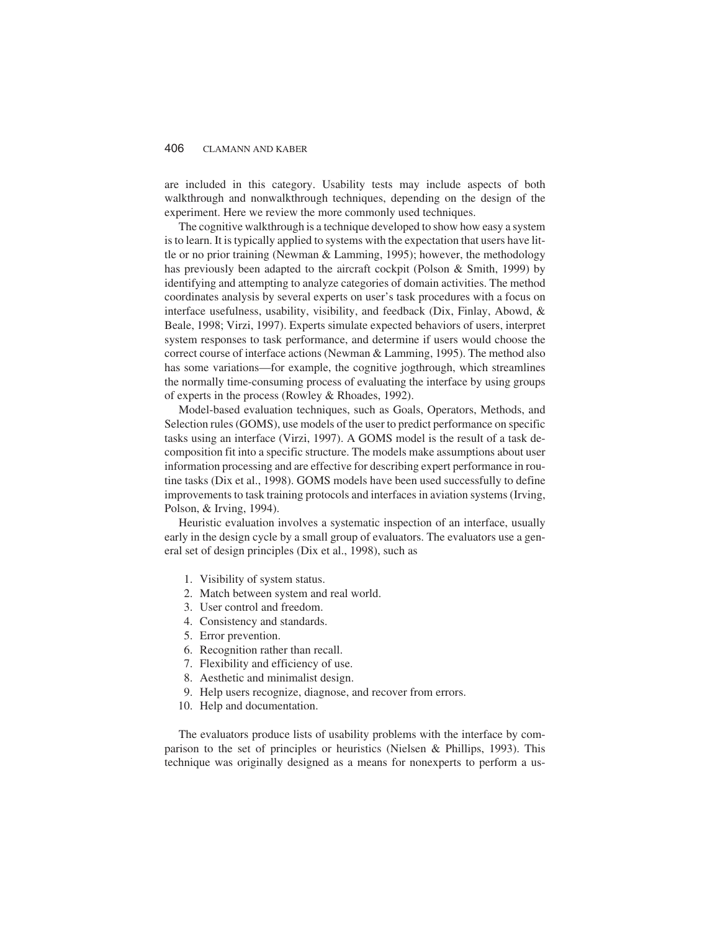are included in this category. Usability tests may include aspects of both walkthrough and nonwalkthrough techniques, depending on the design of the experiment. Here we review the more commonly used techniques.

The cognitive walkthrough is a technique developed to show how easy a system is to learn. It is typically applied to systems with the expectation that users have little or no prior training (Newman & Lamming, 1995); however, the methodology has previously been adapted to the aircraft cockpit (Polson & Smith, 1999) by identifying and attempting to analyze categories of domain activities. The method coordinates analysis by several experts on user's task procedures with a focus on interface usefulness, usability, visibility, and feedback (Dix, Finlay, Abowd, & Beale, 1998; Virzi, 1997). Experts simulate expected behaviors of users, interpret system responses to task performance, and determine if users would choose the correct course of interface actions (Newman & Lamming, 1995). The method also has some variations—for example, the cognitive jogthrough, which streamlines the normally time-consuming process of evaluating the interface by using groups of experts in the process (Rowley & Rhoades, 1992).

Model-based evaluation techniques, such as Goals, Operators, Methods, and Selection rules (GOMS), use models of the user to predict performance on specific tasks using an interface (Virzi, 1997). A GOMS model is the result of a task decomposition fit into a specific structure. The models make assumptions about user information processing and are effective for describing expert performance in routine tasks (Dix et al., 1998). GOMS models have been used successfully to define improvements to task training protocols and interfaces in aviation systems (Irving, Polson, & Irving, 1994).

Heuristic evaluation involves a systematic inspection of an interface, usually early in the design cycle by a small group of evaluators. The evaluators use a general set of design principles (Dix et al., 1998), such as

- 1. Visibility of system status.
- 2. Match between system and real world.
- 3. User control and freedom.
- 4. Consistency and standards.
- 5. Error prevention.
- 6. Recognition rather than recall.
- 7. Flexibility and efficiency of use.
- 8. Aesthetic and minimalist design.
- 9. Help users recognize, diagnose, and recover from errors.
- 10. Help and documentation.

The evaluators produce lists of usability problems with the interface by comparison to the set of principles or heuristics (Nielsen & Phillips, 1993). This technique was originally designed as a means for nonexperts to perform a us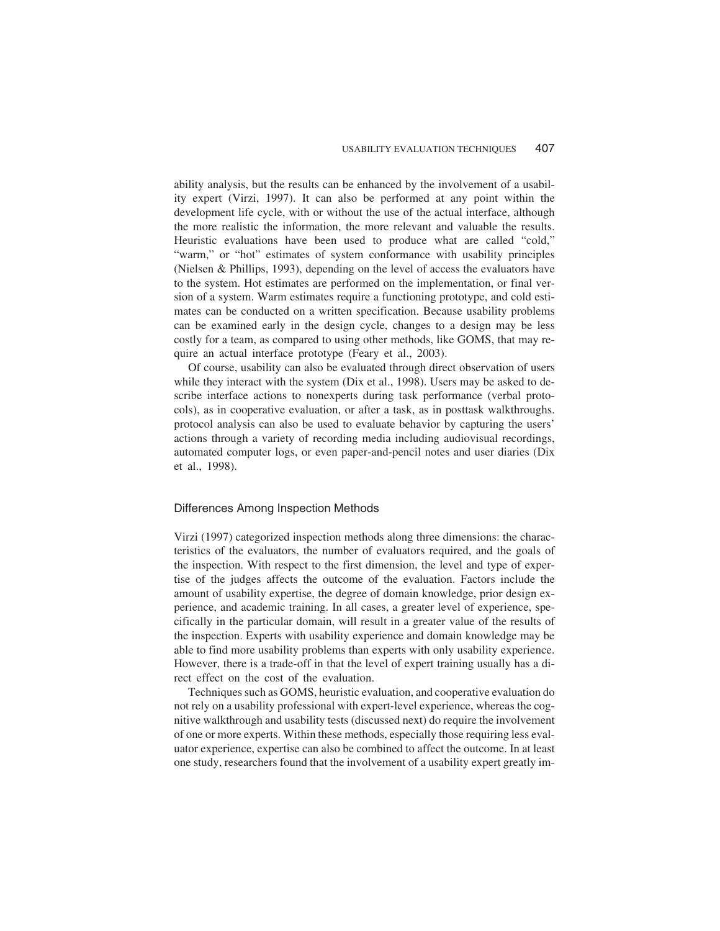ability analysis, but the results can be enhanced by the involvement of a usability expert (Virzi, 1997). It can also be performed at any point within the development life cycle, with or without the use of the actual interface, although the more realistic the information, the more relevant and valuable the results. Heuristic evaluations have been used to produce what are called "cold," "warm," or "hot" estimates of system conformance with usability principles (Nielsen & Phillips, 1993), depending on the level of access the evaluators have to the system. Hot estimates are performed on the implementation, or final version of a system. Warm estimates require a functioning prototype, and cold estimates can be conducted on a written specification. Because usability problems can be examined early in the design cycle, changes to a design may be less costly for a team, as compared to using other methods, like GOMS, that may require an actual interface prototype (Feary et al., 2003).

Of course, usability can also be evaluated through direct observation of users while they interact with the system (Dix et al., 1998). Users may be asked to describe interface actions to nonexperts during task performance (verbal protocols), as in cooperative evaluation, or after a task, as in posttask walkthroughs. protocol analysis can also be used to evaluate behavior by capturing the users' actions through a variety of recording media including audiovisual recordings, automated computer logs, or even paper-and-pencil notes and user diaries (Dix et al., 1998).

#### Differences Among Inspection Methods

Virzi (1997) categorized inspection methods along three dimensions: the characteristics of the evaluators, the number of evaluators required, and the goals of the inspection. With respect to the first dimension, the level and type of expertise of the judges affects the outcome of the evaluation. Factors include the amount of usability expertise, the degree of domain knowledge, prior design experience, and academic training. In all cases, a greater level of experience, specifically in the particular domain, will result in a greater value of the results of the inspection. Experts with usability experience and domain knowledge may be able to find more usability problems than experts with only usability experience. However, there is a trade-off in that the level of expert training usually has a direct effect on the cost of the evaluation.

Techniques such as GOMS, heuristic evaluation, and cooperative evaluation do not rely on a usability professional with expert-level experience, whereas the cognitive walkthrough and usability tests (discussed next) do require the involvement of one or more experts. Within these methods, especially those requiring less evaluator experience, expertise can also be combined to affect the outcome. In at least one study, researchers found that the involvement of a usability expert greatly im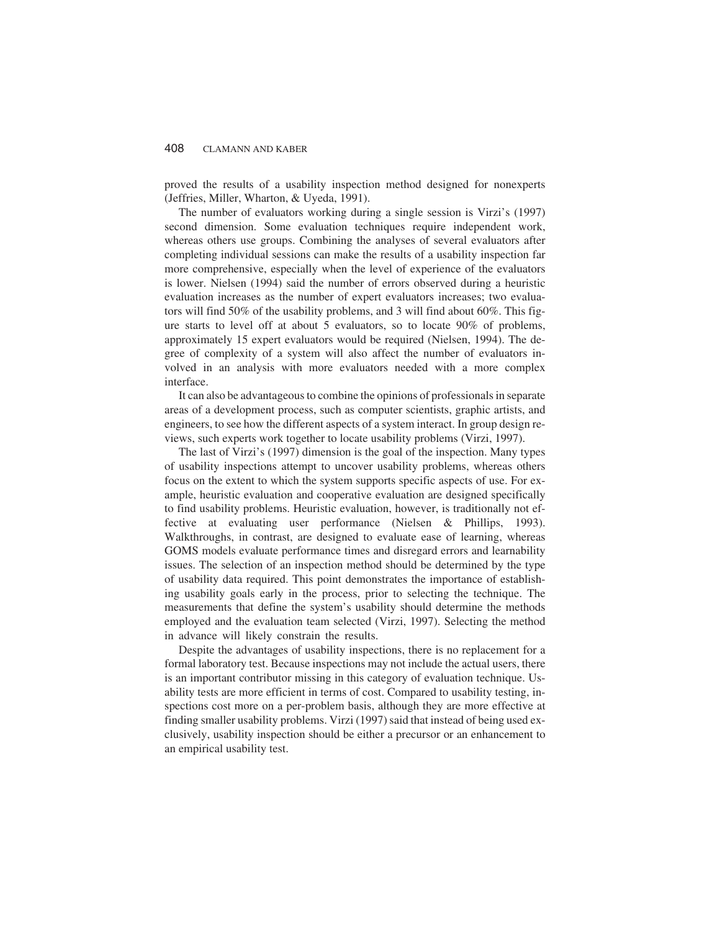proved the results of a usability inspection method designed for nonexperts (Jeffries, Miller, Wharton, & Uyeda, 1991).

The number of evaluators working during a single session is Virzi's (1997) second dimension. Some evaluation techniques require independent work, whereas others use groups. Combining the analyses of several evaluators after completing individual sessions can make the results of a usability inspection far more comprehensive, especially when the level of experience of the evaluators is lower. Nielsen (1994) said the number of errors observed during a heuristic evaluation increases as the number of expert evaluators increases; two evaluators will find 50% of the usability problems, and 3 will find about 60%. This figure starts to level off at about 5 evaluators, so to locate 90% of problems, approximately 15 expert evaluators would be required (Nielsen, 1994). The degree of complexity of a system will also affect the number of evaluators involved in an analysis with more evaluators needed with a more complex interface.

It can also be advantageous to combine the opinions of professionals in separate areas of a development process, such as computer scientists, graphic artists, and engineers, to see how the different aspects of a system interact. In group design reviews, such experts work together to locate usability problems (Virzi, 1997).

The last of Virzi's (1997) dimension is the goal of the inspection. Many types of usability inspections attempt to uncover usability problems, whereas others focus on the extent to which the system supports specific aspects of use. For example, heuristic evaluation and cooperative evaluation are designed specifically to find usability problems. Heuristic evaluation, however, is traditionally not effective at evaluating user performance (Nielsen & Phillips, 1993). Walkthroughs, in contrast, are designed to evaluate ease of learning, whereas GOMS models evaluate performance times and disregard errors and learnability issues. The selection of an inspection method should be determined by the type of usability data required. This point demonstrates the importance of establishing usability goals early in the process, prior to selecting the technique. The measurements that define the system's usability should determine the methods employed and the evaluation team selected (Virzi, 1997). Selecting the method in advance will likely constrain the results.

Despite the advantages of usability inspections, there is no replacement for a formal laboratory test. Because inspections may not include the actual users, there is an important contributor missing in this category of evaluation technique. Usability tests are more efficient in terms of cost. Compared to usability testing, inspections cost more on a per-problem basis, although they are more effective at finding smaller usability problems. Virzi (1997) said that instead of being used exclusively, usability inspection should be either a precursor or an enhancement to an empirical usability test.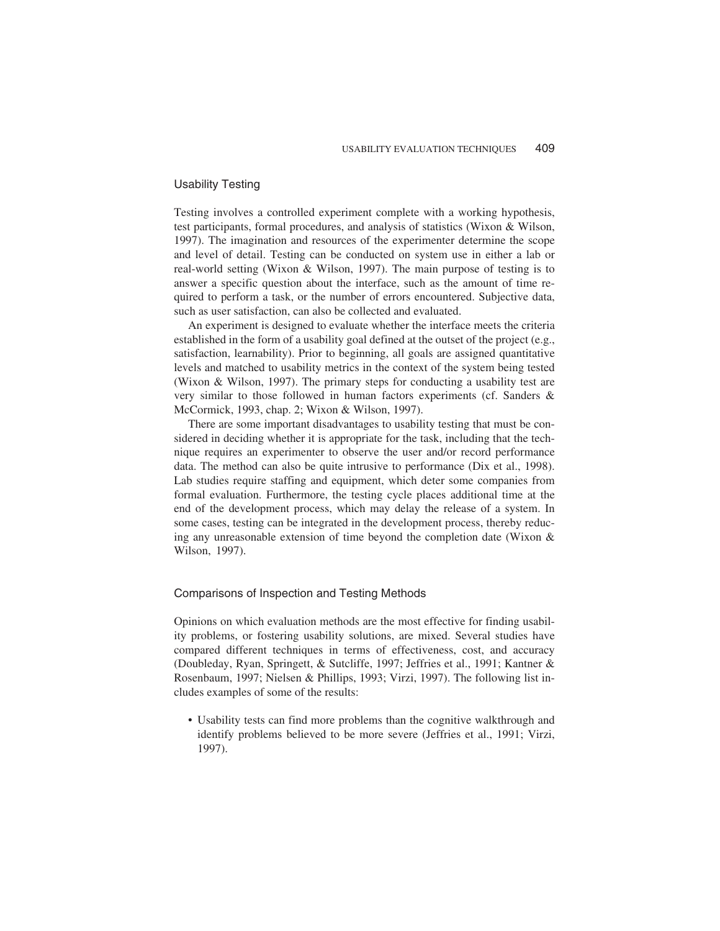## Usability Testing

Testing involves a controlled experiment complete with a working hypothesis, test participants, formal procedures, and analysis of statistics (Wixon & Wilson, 1997). The imagination and resources of the experimenter determine the scope and level of detail. Testing can be conducted on system use in either a lab or real-world setting (Wixon & Wilson, 1997). The main purpose of testing is to answer a specific question about the interface, such as the amount of time required to perform a task, or the number of errors encountered. Subjective data, such as user satisfaction, can also be collected and evaluated.

An experiment is designed to evaluate whether the interface meets the criteria established in the form of a usability goal defined at the outset of the project (e.g., satisfaction, learnability). Prior to beginning, all goals are assigned quantitative levels and matched to usability metrics in the context of the system being tested (Wixon & Wilson, 1997). The primary steps for conducting a usability test are very similar to those followed in human factors experiments (cf. Sanders & McCormick, 1993, chap. 2; Wixon & Wilson, 1997).

There are some important disadvantages to usability testing that must be considered in deciding whether it is appropriate for the task, including that the technique requires an experimenter to observe the user and/or record performance data. The method can also be quite intrusive to performance (Dix et al., 1998). Lab studies require staffing and equipment, which deter some companies from formal evaluation. Furthermore, the testing cycle places additional time at the end of the development process, which may delay the release of a system. In some cases, testing can be integrated in the development process, thereby reducing any unreasonable extension of time beyond the completion date (Wixon & Wilson, 1997).

#### Comparisons of Inspection and Testing Methods

Opinions on which evaluation methods are the most effective for finding usability problems, or fostering usability solutions, are mixed. Several studies have compared different techniques in terms of effectiveness, cost, and accuracy (Doubleday, Ryan, Springett, & Sutcliffe, 1997; Jeffries et al., 1991; Kantner & Rosenbaum, 1997; Nielsen & Phillips, 1993; Virzi, 1997). The following list includes examples of some of the results:

• Usability tests can find more problems than the cognitive walkthrough and identify problems believed to be more severe (Jeffries et al., 1991; Virzi, 1997).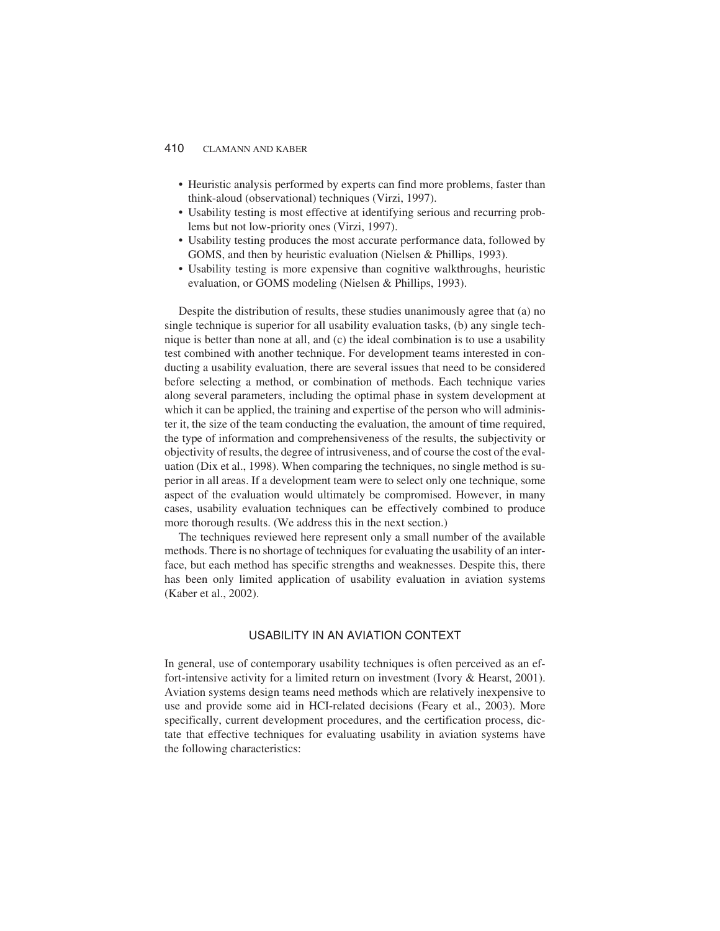- Heuristic analysis performed by experts can find more problems, faster than think-aloud (observational) techniques (Virzi, 1997).
- Usability testing is most effective at identifying serious and recurring problems but not low-priority ones (Virzi, 1997).
- Usability testing produces the most accurate performance data, followed by GOMS, and then by heuristic evaluation (Nielsen & Phillips, 1993).
- Usability testing is more expensive than cognitive walkthroughs, heuristic evaluation, or GOMS modeling (Nielsen & Phillips, 1993).

Despite the distribution of results, these studies unanimously agree that (a) no single technique is superior for all usability evaluation tasks, (b) any single technique is better than none at all, and (c) the ideal combination is to use a usability test combined with another technique. For development teams interested in conducting a usability evaluation, there are several issues that need to be considered before selecting a method, or combination of methods. Each technique varies along several parameters, including the optimal phase in system development at which it can be applied, the training and expertise of the person who will administer it, the size of the team conducting the evaluation, the amount of time required, the type of information and comprehensiveness of the results, the subjectivity or objectivity of results, the degree of intrusiveness, and of course the cost of the evaluation (Dix et al., 1998). When comparing the techniques, no single method is superior in all areas. If a development team were to select only one technique, some aspect of the evaluation would ultimately be compromised. However, in many cases, usability evaluation techniques can be effectively combined to produce more thorough results. (We address this in the next section.)

The techniques reviewed here represent only a small number of the available methods. There is no shortage of techniques for evaluating the usability of an interface, but each method has specific strengths and weaknesses. Despite this, there has been only limited application of usability evaluation in aviation systems (Kaber et al., 2002).

## USABILITY IN AN AVIATION CONTEXT

In general, use of contemporary usability techniques is often perceived as an effort-intensive activity for a limited return on investment (Ivory & Hearst, 2001). Aviation systems design teams need methods which are relatively inexpensive to use and provide some aid in HCI-related decisions (Feary et al., 2003). More specifically, current development procedures, and the certification process, dictate that effective techniques for evaluating usability in aviation systems have the following characteristics: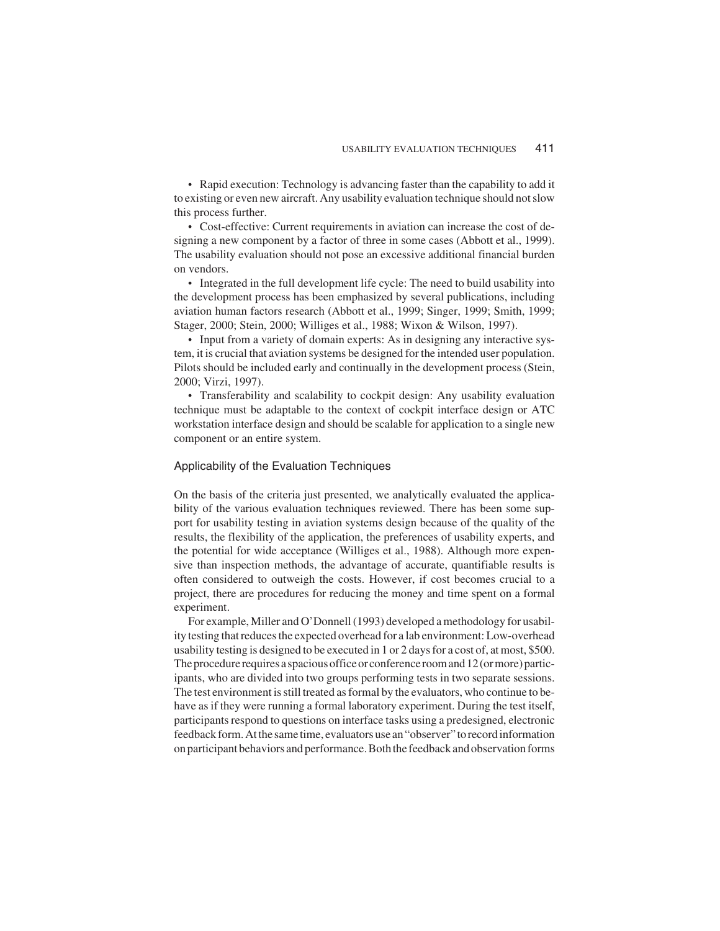• Rapid execution: Technology is advancing faster than the capability to add it to existing or even new aircraft. Any usability evaluation technique should not slow this process further.

• Cost-effective: Current requirements in aviation can increase the cost of designing a new component by a factor of three in some cases (Abbott et al., 1999). The usability evaluation should not pose an excessive additional financial burden on vendors.

• Integrated in the full development life cycle: The need to build usability into the development process has been emphasized by several publications, including aviation human factors research (Abbott et al., 1999; Singer, 1999; Smith, 1999; Stager, 2000; Stein, 2000; Williges et al., 1988; Wixon & Wilson, 1997).

• Input from a variety of domain experts: As in designing any interactive system, it is crucial that aviation systems be designed for the intended user population. Pilots should be included early and continually in the development process (Stein, 2000; Virzi, 1997).

• Transferability and scalability to cockpit design: Any usability evaluation technique must be adaptable to the context of cockpit interface design or ATC workstation interface design and should be scalable for application to a single new component or an entire system.

#### Applicability of the Evaluation Techniques

On the basis of the criteria just presented, we analytically evaluated the applicability of the various evaluation techniques reviewed. There has been some support for usability testing in aviation systems design because of the quality of the results, the flexibility of the application, the preferences of usability experts, and the potential for wide acceptance (Williges et al., 1988). Although more expensive than inspection methods, the advantage of accurate, quantifiable results is often considered to outweigh the costs. However, if cost becomes crucial to a project, there are procedures for reducing the money and time spent on a formal experiment.

For example, Miller and O'Donnell (1993) developed a methodology for usability testing that reduces the expected overhead for a lab environment: Low-overhead usability testing is designed to be executed in 1 or 2 days for a cost of, at most, \$500. The procedure requires a spacious office or conference room and 12 (or more) participants, who are divided into two groups performing tests in two separate sessions. The test environment is still treated as formal by the evaluators, who continue to behave as if they were running a formal laboratory experiment. During the test itself, participants respond to questions on interface tasks using a predesigned, electronic feedback form. At the same time, evaluators use an "observer" to record information on participant behaviors and performance. Both the feedback and observation forms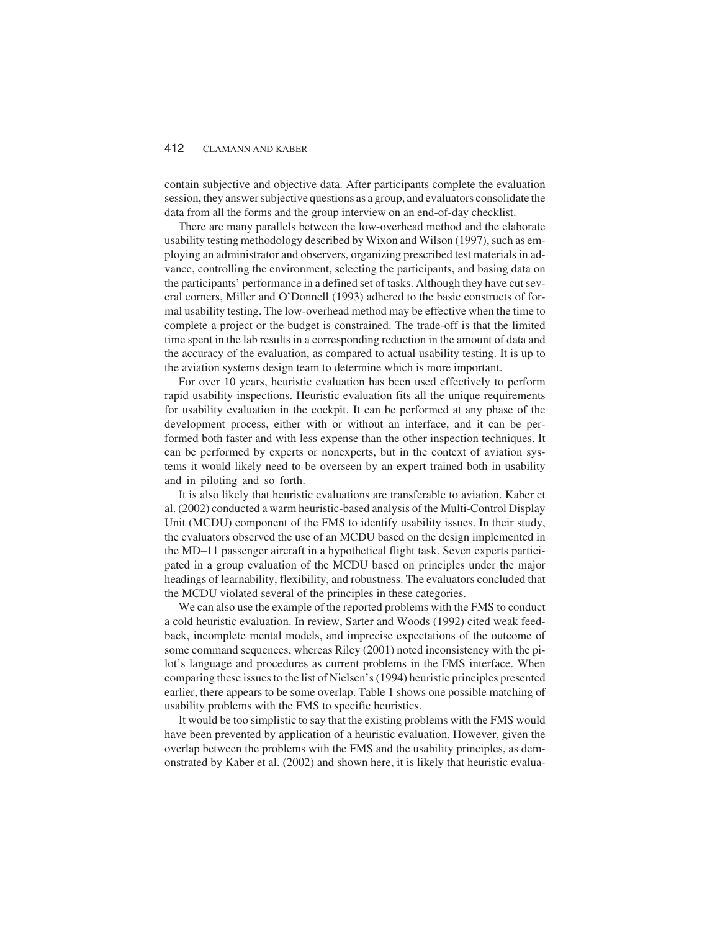contain subjective and objective data. After participants complete the evaluation session, they answer subjective questions as a group, and evaluators consolidate the data from all the forms and the group interview on an end-of-day checklist.

There are many parallels between the low-overhead method and the elaborate usability testing methodology described by Wixon and Wilson (1997), such as employing an administrator and observers, organizing prescribed test materials in advance, controlling the environment, selecting the participants, and basing data on the participants' performance in a defined set of tasks. Although they have cut several corners, Miller and O'Donnell (1993) adhered to the basic constructs of formal usability testing. The low-overhead method may be effective when the time to complete a project or the budget is constrained. The trade-off is that the limited time spent in the lab results in a corresponding reduction in the amount of data and the accuracy of the evaluation, as compared to actual usability testing. It is up to the aviation systems design team to determine which is more important.

For over 10 years, heuristic evaluation has been used effectively to perform rapid usability inspections. Heuristic evaluation fits all the unique requirements for usability evaluation in the cockpit. It can be performed at any phase of the development process, either with or without an interface, and it can be performed both faster and with less expense than the other inspection techniques. It can be performed by experts or nonexperts, but in the context of aviation systems it would likely need to be overseen by an expert trained both in usability and in piloting and so forth.

It is also likely that heuristic evaluations are transferable to aviation. Kaber et al. (2002) conducted a warm heuristic-based analysis of the Multi-Control Display Unit (MCDU) component of the FMS to identify usability issues. In their study, the evaluators observed the use of an MCDU based on the design implemented in the MD–11 passenger aircraft in a hypothetical flight task. Seven experts participated in a group evaluation of the MCDU based on principles under the major headings of learnability, flexibility, and robustness. The evaluators concluded that the MCDU violated several of the principles in these categories.

We can also use the example of the reported problems with the FMS to conduct a cold heuristic evaluation. In review, Sarter and Woods (1992) cited weak feedback, incomplete mental models, and imprecise expectations of the outcome of some command sequences, whereas Riley (2001) noted inconsistency with the pilot's language and procedures as current problems in the FMS interface. When comparing these issues to the list of Nielsen's (1994) heuristic principles presented earlier, there appears to be some overlap. Table 1 shows one possible matching of usability problems with the FMS to specific heuristics.

It would be too simplistic to say that the existing problems with the FMS would have been prevented by application of a heuristic evaluation. However, given the overlap between the problems with the FMS and the usability principles, as demonstrated by Kaber et al. (2002) and shown here, it is likely that heuristic evalua-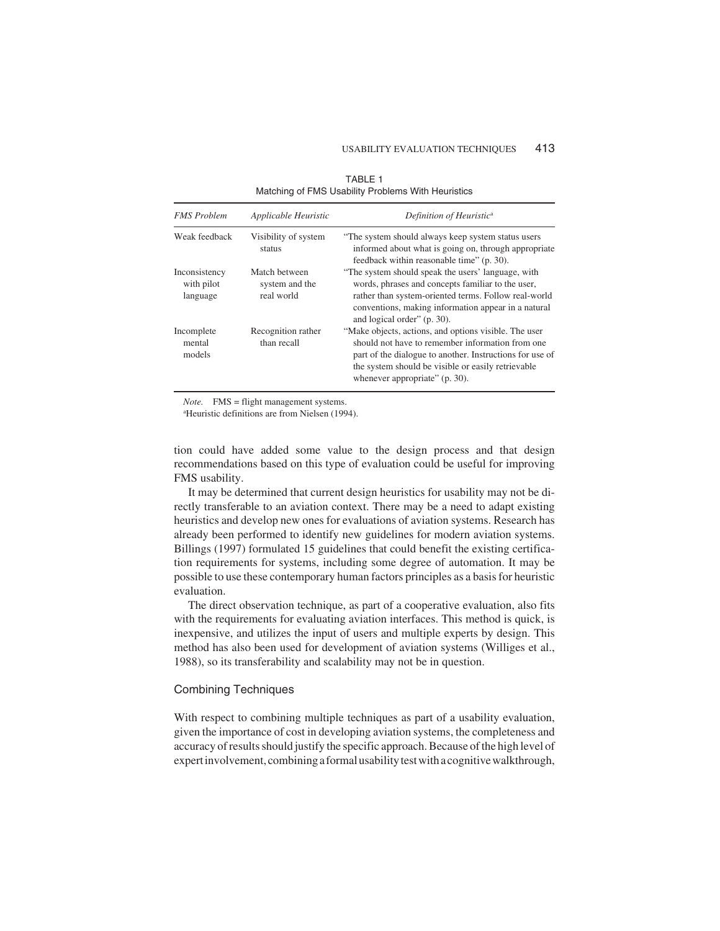| <b>FMS</b> Problem                      | Applicable Heuristic                          | Definition of Heuristic <sup>a</sup>                                                                                                                                                                                                                          |
|-----------------------------------------|-----------------------------------------------|---------------------------------------------------------------------------------------------------------------------------------------------------------------------------------------------------------------------------------------------------------------|
| Weak feedback                           | Visibility of system<br>status                | "The system should always keep system status users"<br>informed about what is going on, through appropriate<br>feedback within reasonable time" (p. 30).                                                                                                      |
| Inconsistency<br>with pilot<br>language | Match between<br>system and the<br>real world | "The system should speak the users' language, with<br>words, phrases and concepts familiar to the user,<br>rather than system-oriented terms. Follow real-world<br>conventions, making information appear in a natural<br>and logical order" (p. 30).         |
| Incomplete<br>mental<br>models          | Recognition rather<br>than recall             | "Make objects, actions, and options visible. The user<br>should not have to remember information from one<br>part of the dialogue to another. Instructions for use of<br>the system should be visible or easily retrievable<br>whenever appropriate" (p. 30). |

TABLE 1 Matching of FMS Usability Problems With Heuristics

*Note.* FMS = flight management systems.

a Heuristic definitions are from Nielsen (1994).

tion could have added some value to the design process and that design recommendations based on this type of evaluation could be useful for improving FMS usability.

It may be determined that current design heuristics for usability may not be directly transferable to an aviation context. There may be a need to adapt existing heuristics and develop new ones for evaluations of aviation systems. Research has already been performed to identify new guidelines for modern aviation systems. Billings (1997) formulated 15 guidelines that could benefit the existing certification requirements for systems, including some degree of automation. It may be possible to use these contemporary human factors principles as a basis for heuristic evaluation.

The direct observation technique, as part of a cooperative evaluation, also fits with the requirements for evaluating aviation interfaces. This method is quick, is inexpensive, and utilizes the input of users and multiple experts by design. This method has also been used for development of aviation systems (Williges et al., 1988), so its transferability and scalability may not be in question.

## Combining Techniques

With respect to combining multiple techniques as part of a usability evaluation, given the importance of cost in developing aviation systems, the completeness and accuracy of results should justify the specific approach. Because of the high level of expert involvement, combining a formal usability test with a cognitive walkthrough,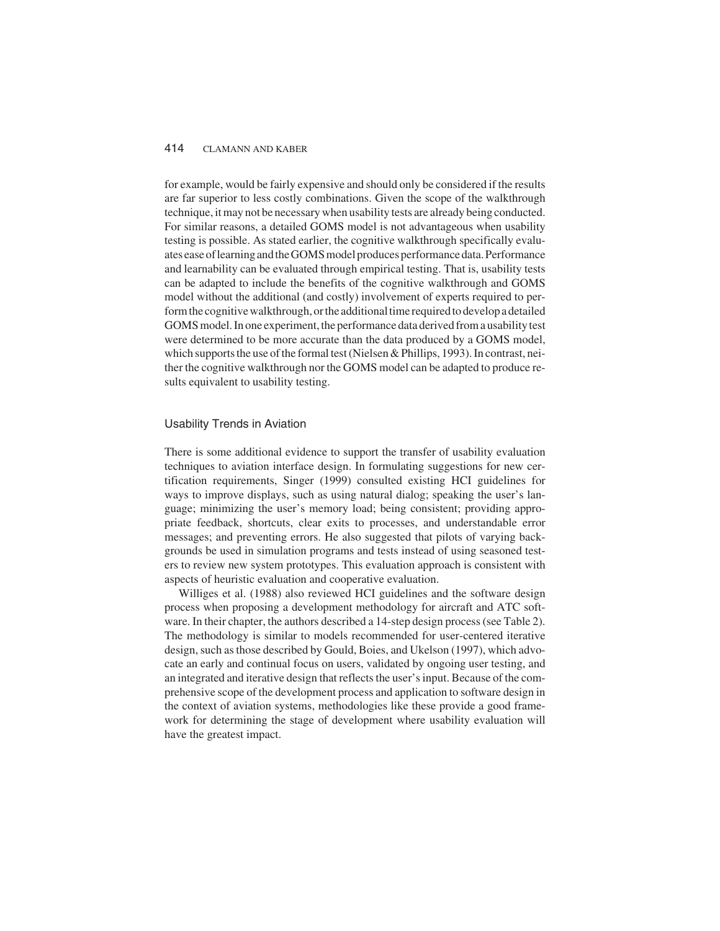for example, would be fairly expensive and should only be considered if the results are far superior to less costly combinations. Given the scope of the walkthrough technique, it may not be necessary when usability tests are already being conducted. For similar reasons, a detailed GOMS model is not advantageous when usability testing is possible. As stated earlier, the cognitive walkthrough specifically evaluates ease of learning and the GOMS model produces performance data. Performance and learnability can be evaluated through empirical testing. That is, usability tests can be adapted to include the benefits of the cognitive walkthrough and GOMS model without the additional (and costly) involvement of experts required to perform the cognitive walkthrough, or the additional time required to develop a detailed GOMS model. In one experiment, the performance data derived from a usability test were determined to be more accurate than the data produced by a GOMS model, which supports the use of the formal test (Nielsen & Phillips, 1993). In contrast, neither the cognitive walkthrough nor the GOMS model can be adapted to produce results equivalent to usability testing.

## Usability Trends in Aviation

There is some additional evidence to support the transfer of usability evaluation techniques to aviation interface design. In formulating suggestions for new certification requirements, Singer (1999) consulted existing HCI guidelines for ways to improve displays, such as using natural dialog; speaking the user's language; minimizing the user's memory load; being consistent; providing appropriate feedback, shortcuts, clear exits to processes, and understandable error messages; and preventing errors. He also suggested that pilots of varying backgrounds be used in simulation programs and tests instead of using seasoned testers to review new system prototypes. This evaluation approach is consistent with aspects of heuristic evaluation and cooperative evaluation.

Williges et al. (1988) also reviewed HCI guidelines and the software design process when proposing a development methodology for aircraft and ATC software. In their chapter, the authors described a 14-step design process (see Table 2). The methodology is similar to models recommended for user-centered iterative design, such as those described by Gould, Boies, and Ukelson (1997), which advocate an early and continual focus on users, validated by ongoing user testing, and an integrated and iterative design that reflects the user's input. Because of the comprehensive scope of the development process and application to software design in the context of aviation systems, methodologies like these provide a good framework for determining the stage of development where usability evaluation will have the greatest impact.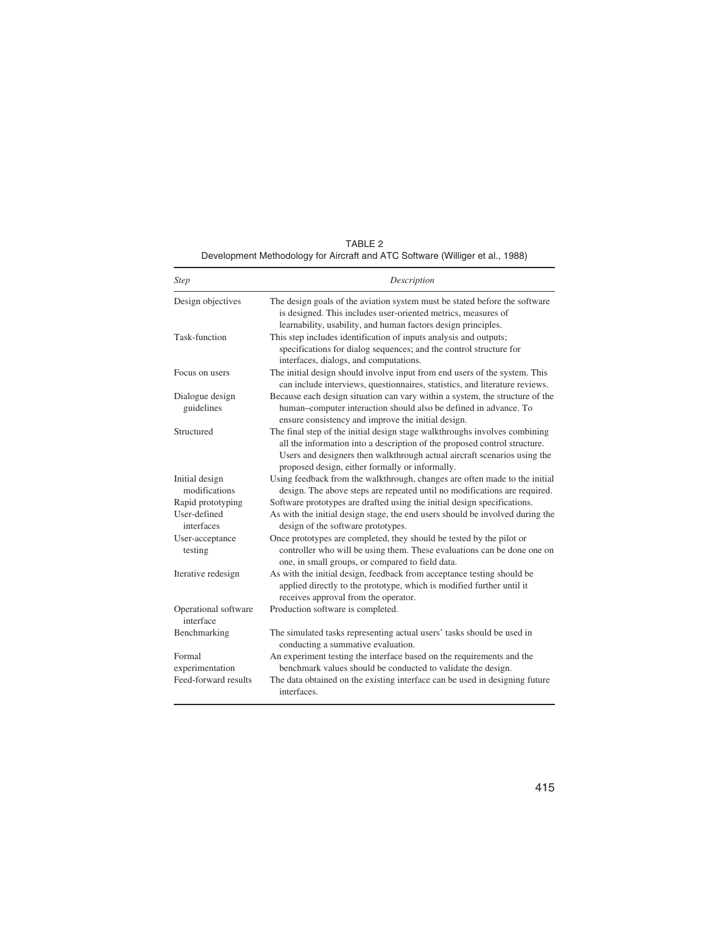| TABLE 2                                                                       |  |
|-------------------------------------------------------------------------------|--|
| Development Methodology for Aircraft and ATC Software (Williger et al., 1988) |  |

| <b>Step</b>                       | Description                                                                                                                                                                                                                                                                            |
|-----------------------------------|----------------------------------------------------------------------------------------------------------------------------------------------------------------------------------------------------------------------------------------------------------------------------------------|
| Design objectives                 | The design goals of the aviation system must be stated before the software<br>is designed. This includes user-oriented metrics, measures of<br>learnability, usability, and human factors design principles.                                                                           |
| Task-function                     | This step includes identification of inputs analysis and outputs;<br>specifications for dialog sequences; and the control structure for<br>interfaces, dialogs, and computations.                                                                                                      |
| Focus on users                    | The initial design should involve input from end users of the system. This<br>can include interviews, questionnaires, statistics, and literature reviews.                                                                                                                              |
| Dialogue design<br>guidelines     | Because each design situation can vary within a system, the structure of the<br>human-computer interaction should also be defined in advance. To<br>ensure consistency and improve the initial design.                                                                                 |
| Structured                        | The final step of the initial design stage walkthroughs involves combining<br>all the information into a description of the proposed control structure.<br>Users and designers then walkthrough actual aircraft scenarios using the<br>proposed design, either formally or informally. |
| Initial design<br>modifications   | Using feedback from the walkthrough, changes are often made to the initial<br>design. The above steps are repeated until no modifications are required.                                                                                                                                |
| Rapid prototyping                 | Software prototypes are drafted using the initial design specifications.                                                                                                                                                                                                               |
| User-defined<br>interfaces        | As with the initial design stage, the end users should be involved during the<br>design of the software prototypes.                                                                                                                                                                    |
| User-acceptance<br>testing        | Once prototypes are completed, they should be tested by the pilot or<br>controller who will be using them. These evaluations can be done one on<br>one, in small groups, or compared to field data.                                                                                    |
| Iterative redesign                | As with the initial design, feedback from acceptance testing should be<br>applied directly to the prototype, which is modified further until it<br>receives approval from the operator.                                                                                                |
| Operational software<br>interface | Production software is completed.                                                                                                                                                                                                                                                      |
| Benchmarking                      | The simulated tasks representing actual users' tasks should be used in<br>conducting a summative evaluation.                                                                                                                                                                           |
| Formal                            | An experiment testing the interface based on the requirements and the                                                                                                                                                                                                                  |
| experimentation                   | benchmark values should be conducted to validate the design.                                                                                                                                                                                                                           |
| Feed-forward results              | The data obtained on the existing interface can be used in designing future<br>interfaces.                                                                                                                                                                                             |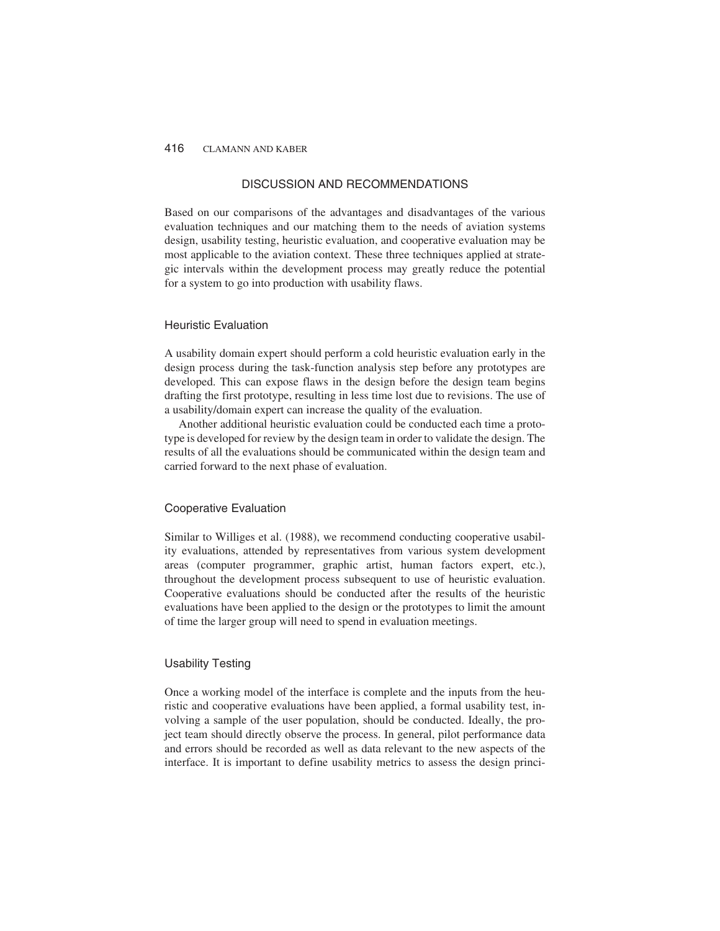## DISCUSSION AND RECOMMENDATIONS

Based on our comparisons of the advantages and disadvantages of the various evaluation techniques and our matching them to the needs of aviation systems design, usability testing, heuristic evaluation, and cooperative evaluation may be most applicable to the aviation context. These three techniques applied at strategic intervals within the development process may greatly reduce the potential for a system to go into production with usability flaws.

## Heuristic Evaluation

A usability domain expert should perform a cold heuristic evaluation early in the design process during the task-function analysis step before any prototypes are developed. This can expose flaws in the design before the design team begins drafting the first prototype, resulting in less time lost due to revisions. The use of a usability/domain expert can increase the quality of the evaluation.

Another additional heuristic evaluation could be conducted each time a prototype is developed for review by the design team in order to validate the design. The results of all the evaluations should be communicated within the design team and carried forward to the next phase of evaluation.

## Cooperative Evaluation

Similar to Williges et al. (1988), we recommend conducting cooperative usability evaluations, attended by representatives from various system development areas (computer programmer, graphic artist, human factors expert, etc.), throughout the development process subsequent to use of heuristic evaluation. Cooperative evaluations should be conducted after the results of the heuristic evaluations have been applied to the design or the prototypes to limit the amount of time the larger group will need to spend in evaluation meetings.

## Usability Testing

Once a working model of the interface is complete and the inputs from the heuristic and cooperative evaluations have been applied, a formal usability test, involving a sample of the user population, should be conducted. Ideally, the project team should directly observe the process. In general, pilot performance data and errors should be recorded as well as data relevant to the new aspects of the interface. It is important to define usability metrics to assess the design princi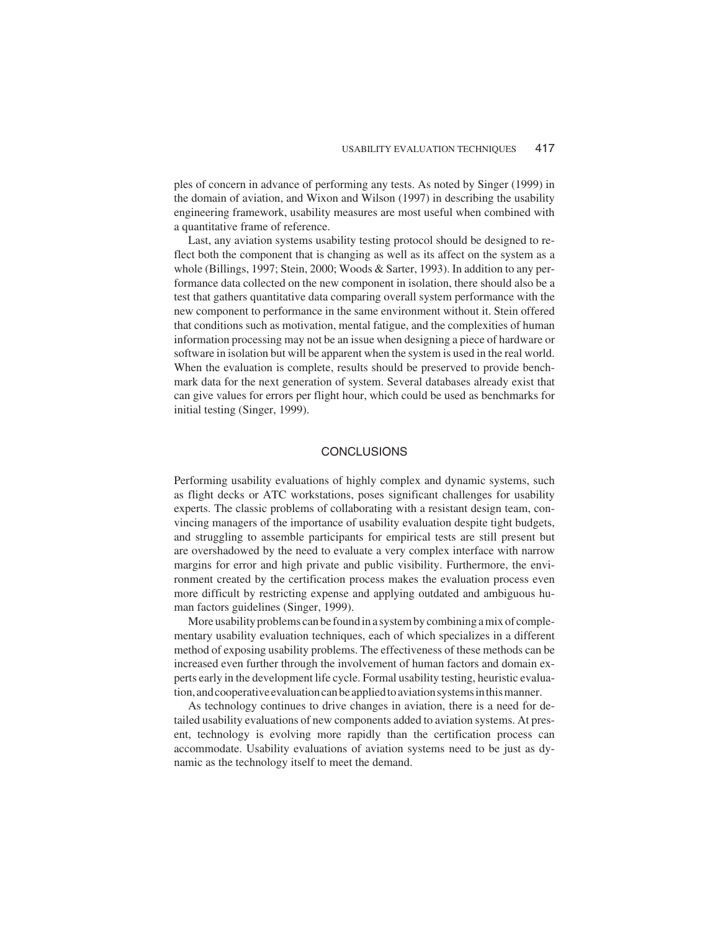ples of concern in advance of performing any tests. As noted by Singer (1999) in the domain of aviation, and Wixon and Wilson (1997) in describing the usability engineering framework, usability measures are most useful when combined with a quantitative frame of reference.

Last, any aviation systems usability testing protocol should be designed to reflect both the component that is changing as well as its affect on the system as a whole (Billings, 1997; Stein, 2000; Woods & Sarter, 1993). In addition to any performance data collected on the new component in isolation, there should also be a test that gathers quantitative data comparing overall system performance with the new component to performance in the same environment without it. Stein offered that conditions such as motivation, mental fatigue, and the complexities of human information processing may not be an issue when designing a piece of hardware or software in isolation but will be apparent when the system is used in the real world. When the evaluation is complete, results should be preserved to provide benchmark data for the next generation of system. Several databases already exist that can give values for errors per flight hour, which could be used as benchmarks for initial testing (Singer, 1999).

#### **CONCLUSIONS**

Performing usability evaluations of highly complex and dynamic systems, such as flight decks or ATC workstations, poses significant challenges for usability experts. The classic problems of collaborating with a resistant design team, convincing managers of the importance of usability evaluation despite tight budgets, and struggling to assemble participants for empirical tests are still present but are overshadowed by the need to evaluate a very complex interface with narrow margins for error and high private and public visibility. Furthermore, the environment created by the certification process makes the evaluation process even more difficult by restricting expense and applying outdated and ambiguous human factors guidelines (Singer, 1999).

More usability problems can be found in a system by combining a mix of complementary usability evaluation techniques, each of which specializes in a different method of exposing usability problems. The effectiveness of these methods can be increased even further through the involvement of human factors and domain experts early in the development life cycle. Formal usability testing, heuristic evaluation, and cooperative evaluation can be applied to aviation systems in this manner.

As technology continues to drive changes in aviation, there is a need for detailed usability evaluations of new components added to aviation systems. At present, technology is evolving more rapidly than the certification process can accommodate. Usability evaluations of aviation systems need to be just as dynamic as the technology itself to meet the demand.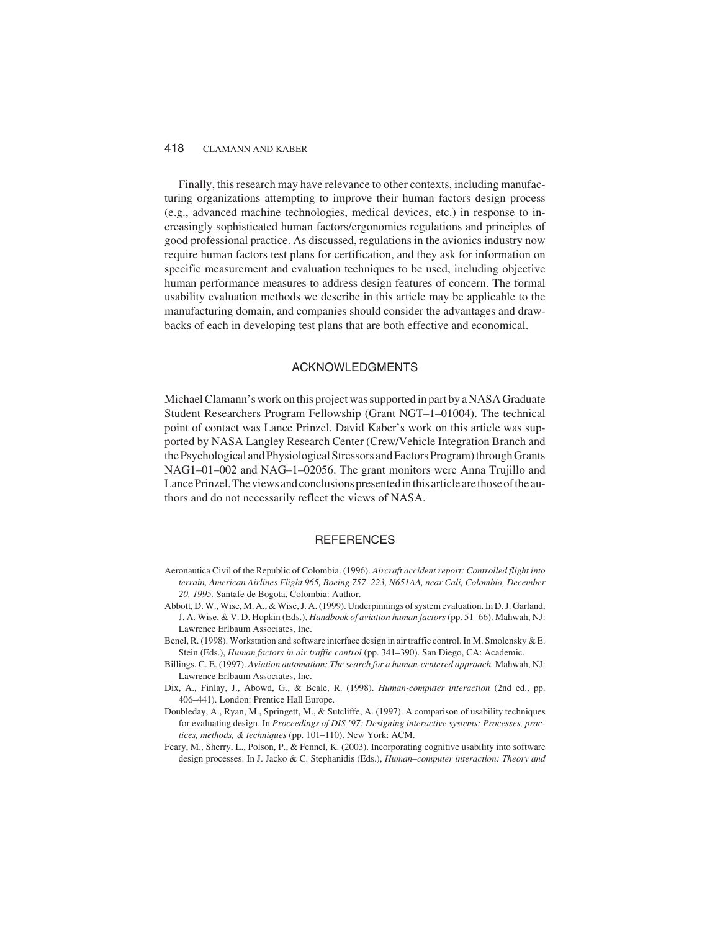Finally, this research may have relevance to other contexts, including manufacturing organizations attempting to improve their human factors design process (e.g., advanced machine technologies, medical devices, etc.) in response to increasingly sophisticated human factors/ergonomics regulations and principles of good professional practice. As discussed, regulations in the avionics industry now require human factors test plans for certification, and they ask for information on specific measurement and evaluation techniques to be used, including objective human performance measures to address design features of concern. The formal usability evaluation methods we describe in this article may be applicable to the manufacturing domain, and companies should consider the advantages and drawbacks of each in developing test plans that are both effective and economical.

## ACKNOWLEDGMENTS

Michael Clamann's work on this project was supported in part by a NASA Graduate Student Researchers Program Fellowship (Grant NGT–1–01004). The technical point of contact was Lance Prinzel. David Kaber's work on this article was supported by NASA Langley Research Center (Crew/Vehicle Integration Branch and the Psychological and Physiological Stressors and Factors Program) through Grants NAG1–01–002 and NAG–1–02056. The grant monitors were Anna Trujillo and Lance Prinzel. The views and conclusions presented in this article are those of the authors and do not necessarily reflect the views of NASA.

## **REFERENCES**

- Aeronautica Civil of the Republic of Colombia. (1996). *Aircraft accident report: Controlled flight into terrain, American Airlines Flight 965, Boeing 757–223, N651AA, near Cali, Colombia, December 20, 1995.* Santafe de Bogota, Colombia: Author.
- Abbott, D. W., Wise, M. A., & Wise, J. A. (1999). Underpinnings of system evaluation. In D. J. Garland, J. A. Wise, & V. D. Hopkin (Eds.), *Handbook of aviation human factors* (pp. 51–66). Mahwah, NJ: Lawrence Erlbaum Associates, Inc.

Benel, R. (1998). Workstation and software interface design in air traffic control. In M. Smolensky & E. Stein (Eds.), *Human factors in air traffic control* (pp. 341–390). San Diego, CA: Academic.

- Billings, C. E. (1997). *Aviation automation: The search for a human-centered approach.* Mahwah, NJ: Lawrence Erlbaum Associates, Inc.
- Dix, A., Finlay, J., Abowd, G., & Beale, R. (1998). *Human-computer interaction* (2nd ed., pp. 406–441). London: Prentice Hall Europe.
- Doubleday, A., Ryan, M., Springett, M., & Sutcliffe, A. (1997). A comparison of usability techniques for evaluating design. In *Proceedings of DIS '97: Designing interactive systems: Processes, practices, methods, & techniques* (pp. 101–110). New York: ACM.

Feary, M., Sherry, L., Polson, P., & Fennel, K. (2003). Incorporating cognitive usability into software design processes. In J. Jacko & C. Stephanidis (Eds.), *Human–computer interaction: Theory and*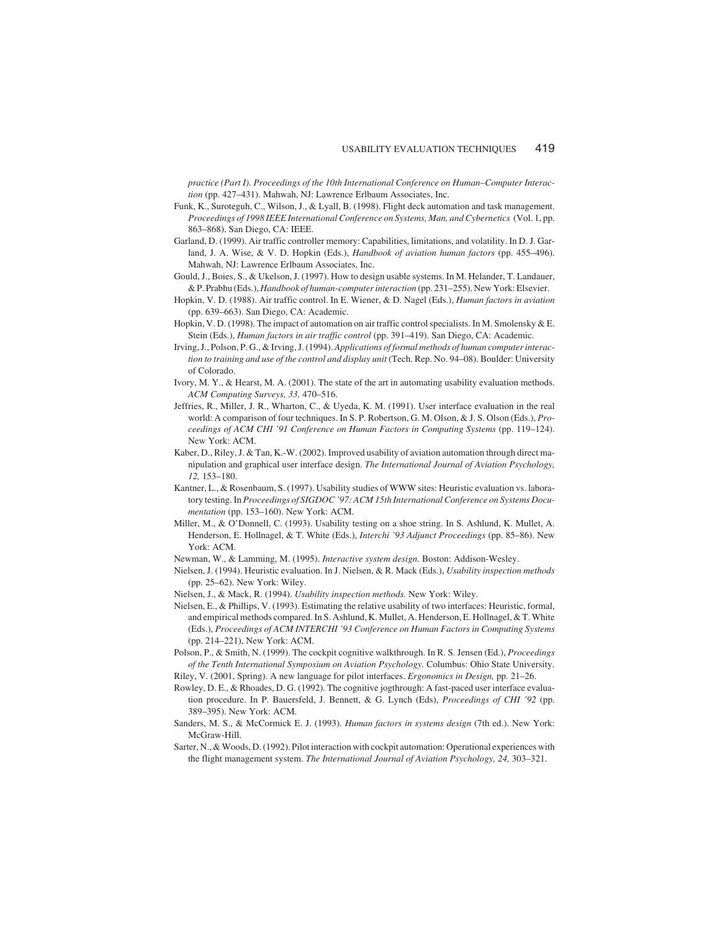*practice (Part I). Proceedings of the 10th International Conference on Human–Computer Interaction* (pp. 427–431). Mahwah, NJ: Lawrence Erlbaum Associates, Inc.

- Funk, K., Suroteguh, C., Wilson, J., & Lyall, B. (1998). Flight deck automation and task management. *Proceedings of 1998 IEEE International Conference on Systems, Man, and Cybernetics* (Vol. 1, pp. 863–868). San Diego, CA: IEEE.
- Garland, D. (1999). Air traffic controller memory: Capabilities, limitations, and volatility. In D. J. Garland, J. A. Wise, & V. D. Hopkin (Eds.), *Handbook of aviation human factors* (pp. 455–496). Mahwah, NJ: Lawrence Erlbaum Associates, Inc.
- Gould, J., Boies, S., & Ukelson, J. (1997). How to design usable systems. In M. Helander, T. Landauer, & P. Prabhu (Eds.), *Handbook of human-computer interaction* (pp. 231–255). New York: Elsevier.
- Hopkin, V. D. (1988). Air traffic control. In E. Wiener, & D. Nagel (Eds.), *Human factors in aviation* (pp. 639–663). San Diego, CA: Academic.
- Hopkin, V. D. (1998). The impact of automation on air traffic control specialists. In M. Smolensky & E. Stein (Eds.), *Human factors in air traffic control* (pp. 391–419). San Diego, CA: Academic.
- Irving, J., Polson, P. G., & Irving, J. (1994). *Applications of formal methods of human computer interaction to training and use of the control and display unit* (Tech. Rep. No. 94–08). Boulder: University of Colorado.
- Ivory, M. Y., & Hearst, M. A. (2001). The state of the art in automating usability evaluation methods. *ACM Computing Surveys, 33,* 470–516.
- Jeffries, R., Miller, J. R., Wharton, C., & Uyeda, K. M. (1991). User interface evaluation in the real world: A comparison of four techniques. In S. P. Robertson, G. M. Olson, & J. S. Olson (Eds.), *Proceedings of ACM CHI '91 Conference on Human Factors in Computing Systems* (pp. 119–124). New York: ACM.
- Kaber, D., Riley, J. & Tan, K.-W. (2002). Improved usability of aviation automation through direct manipulation and graphical user interface design. *The International Journal of Aviation Psychology, 12,* 153–180.
- Kantner, L., & Rosenbaum, S. (1997). Usability studies of WWW sites: Heuristic evaluation vs. laboratory testing. In *Proceedings of SIGDOC '97: ACM 15th International Conference on Systems Documentation* (pp. 153–160). New York: ACM.
- Miller, M., & O'Donnell, C. (1993). Usability testing on a shoe string. In S. Ashlund, K. Mullet, A. Henderson, E. Hollnagel, & T. White (Eds.), *Interchi '93 Adjunct Proceedings* (pp. 85–86). New York: ACM.
- Newman, W., & Lamming, M. (1995). *Interactive system design.* Boston: Addison-Wesley.
- Nielsen, J. (1994). Heuristic evaluation. In J. Nielsen, & R. Mack (Eds.), *Usability inspection methods* (pp. 25–62). New York: Wiley.
- Nielsen, J., & Mack, R. (1994). *Usability inspection methods.* New York: Wiley.
- Nielsen, E., & Phillips, V. (1993). Estimating the relative usability of two interfaces: Heuristic, formal, and empirical methods compared. In S. Ashlund, K. Mullet, A. Henderson, E. Hollnagel, & T. White (Eds.), *Proceedings of ACM INTERCHI '93 Conference on Human Factors in Computing Systems* (pp. 214–221), New York: ACM.
- Polson, P., & Smith, N. (1999). The cockpit cognitive walkthrough. In R. S. Jensen (Ed.), *Proceedings of the Tenth International Symposium on Aviation Psychology.* Columbus: Ohio State University.
- Riley, V. (2001, Spring). A new language for pilot interfaces. *Ergonomics in Design,* pp. 21–26.
- Rowley, D. E., & Rhoades, D. G. (1992). The cognitive jogthrough: A fast-paced user interface evaluation procedure. In P. Bauersfeld, J. Bennett, & G. Lynch (Eds), *Proceedings of CHI '92* (pp. 389–395). New York: ACM.
- Sanders, M. S., & McCormick E. J. (1993). *Human factors in systems design* (7th ed.). New York: McGraw-Hill.
- Sarter, N., & Woods, D. (1992). Pilot interaction with cockpit automation: Operational experiences with the flight management system. *The International Journal of Aviation Psychology, 24,* 303–321.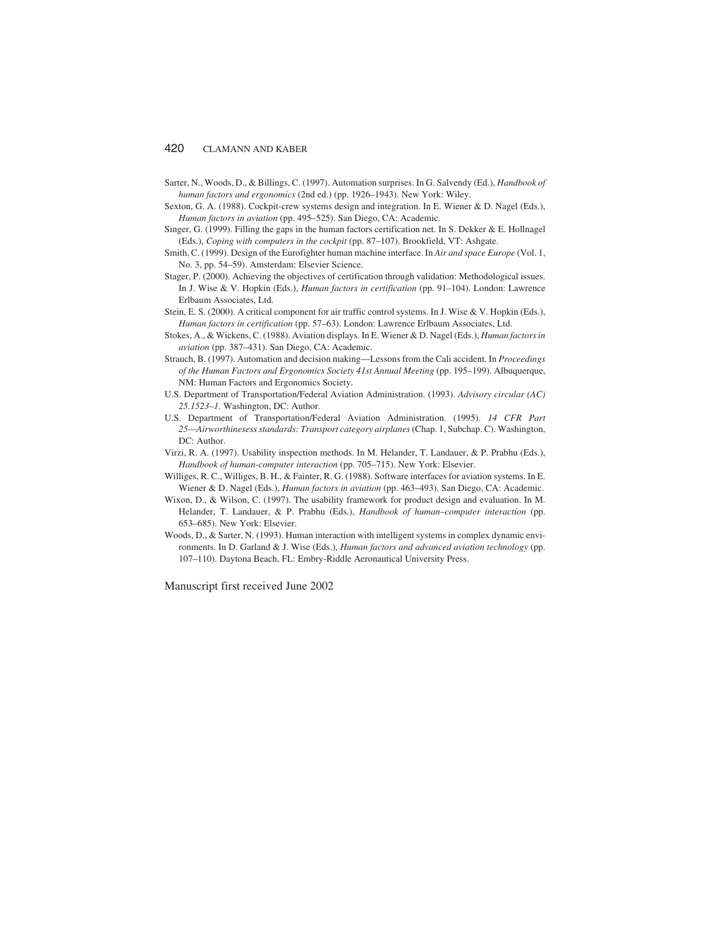- Sarter, N., Woods, D., & Billings, C. (1997). Automation surprises. In G. Salvendy (Ed.), *Handbook of human factors and ergonomics* (2nd ed.) (pp. 1926–1943). New York: Wiley.
- Sexton, G. A. (1988). Cockpit-crew systems design and integration. In E. Wiener & D. Nagel (Eds.), *Human factors in aviation* (pp. 495–525). San Diego, CA: Academic.
- Singer, G. (1999). Filling the gaps in the human factors certification net. In S. Dekker & E. Hollnagel (Eds.), *Coping with computers in the cockpit* (pp. 87–107). Brookfield, VT: Ashgate.
- Smith, C. (1999). Design of the Eurofighter human machine interface. In *Air and space Europe* (Vol. 1, No. 3, pp. 54–59). Amsterdam: Elsevier Science.
- Stager, P. (2000). Achieving the objectives of certification through validation: Methodological issues. In J. Wise & V. Hopkin (Eds.), *Human factors in certification* (pp. 91–104). London: Lawrence Erlbaum Associates, Ltd.
- Stein, E. S. (2000). A critical component for air traffic control systems. In J. Wise & V. Hopkin (Eds.), *Human factors in certification* (pp. 57–63). London: Lawrence Erlbaum Associates, Ltd.
- Stokes, A., & Wickens, C. (1988). Aviation displays. In E. Wiener & D. Nagel (Eds.), *Human factors in aviation* (pp. 387–431). San Diego, CA: Academic.
- Strauch, B. (1997). Automation and decision making—Lessons from the Cali accident. In *Proceedings of the Human Factors and Ergonomics Society 41st Annual Meeting* (pp. 195–199). Albuquerque, NM: Human Factors and Ergonomics Society.
- U.S. Department of Transportation/Federal Aviation Administration. (1993). *Advisory circular (AC) 25.1523–1.* Washington, DC: Author.
- U.S. Department of Transportation/Federal Aviation Administration. (1995). *14 CFR Part 25—Airworthinesess standards: Transport category airplanes*(Chap. 1, Subchap. C). Washington, DC: Author.
- Virzi, R. A. (1997). Usability inspection methods. In M. Helander, T. Landauer, & P. Prabhu (Eds.), *Handbook of human-computer interaction* (pp. 705–715). New York: Elsevier.
- Williges, R. C., Williges, B. H., & Fainter, R. G. (1988). Software interfaces for aviation systems. In E. Wiener & D. Nagel (Eds.), *Human factors in aviation* (pp. 463–493). San Diego, CA: Academic.
- Wixon, D., & Wilson, C. (1997). The usability framework for product design and evaluation. In M. Helander, T. Landauer, & P. Prabhu (Eds.), *Handbook of human–computer interaction* (pp. 653–685). New York: Elsevier.
- Woods, D., & Sarter, N. (1993). Human interaction with intelligent systems in complex dynamic environments. In D. Garland & J. Wise (Eds.), *Human factors and advanced aviation technology* (pp. 107–110). Daytona Beach, FL: Embry-Riddle Aeronautical University Press.

Manuscript first received June 2002